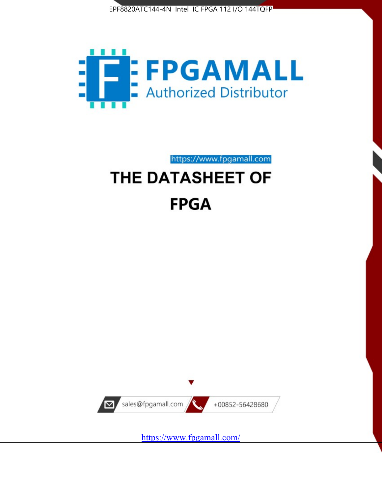



https://www.fpgamall.com

# THE DATASHEET OF **FPGA**



<https://www.fpgamall.com/>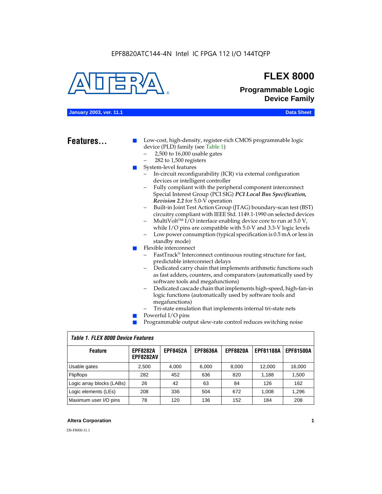#### EPF8820ATC144-4N Intel IC FPGA 112 I/O 144TQFP



### **FLEX 8000**

**Programmable Logic Device Family**

#### **January 2003, ver. 11.1 Data Sheet**

### Features...

Low-cost, high-density, register-rich CMOS programmable logic device (PLD) family (see Table 1)

- 2,500 to 16,000 usable gates
- 282 to 1,500 registers
- System-level features
	- In-circuit reconfigurability (ICR) via external configuration devices or intelligent controller
	- Fully compliant with the peripheral component interconnect Special Interest Group (PCI SIG) *PCI Local Bus Specification, Revision 2.2* for 5.0-V operation
	- Built-in Joint Test Action Group (JTAG) boundary-scan test (BST) circuitry compliant with IEEE Std. 1149.1-1990 on selected devices
	- MultiVolt<sup>™</sup> I/O interface enabling device core to run at  $5.0 V$ , while I/O pins are compatible with 5.0-V and 3.3-V logic levels
	- Low power consumption (typical specification is 0.5 mA or less in standby mode)
- Flexible interconnect
	- FastTrack<sup>®</sup> Interconnect continuous routing structure for fast, predictable interconnect delays
	- Dedicated carry chain that implements arithmetic functions such as fast adders, counters, and comparators (automatically used by software tools and megafunctions)
	- Dedicated cascade chain that implements high-speed, high-fan-in logic functions (automatically used by software tools and megafunctions)
	- Tri-state emulation that implements internal tri-state nets
- Powerful I/O pins
- Programmable output slew-rate control reduces switching noise

| <b>Feature</b>            | <b>EPF8282A</b><br><b>EPF8282AV</b> | <b>EPF8452A</b> | <b>EPF8636A</b> | <b>EPF8820A</b> | <b>EPF81188A</b> | <b>EPF81500A</b> |  |  |  |  |  |
|---------------------------|-------------------------------------|-----------------|-----------------|-----------------|------------------|------------------|--|--|--|--|--|
| Usable gates              | 2,500                               | 4.000           | 6,000           | 8,000           | 12.000           | 16,000           |  |  |  |  |  |
| Flipflops                 | 282                                 | 452             | 636             | 820             | 1.188            | 1,500            |  |  |  |  |  |
| Logic array blocks (LABs) | 26                                  | 42              | 63              | 84              | 126              | 162              |  |  |  |  |  |
| Logic elements (LEs)      | 208                                 | 336             | 504             | 672             | 1.008            | 1,296            |  |  |  |  |  |
| Maximum user I/O pins     | 78                                  | 120             | 136             | 152             | 184              | 208              |  |  |  |  |  |

#### *Table 1. FLEX 8000 Device Features*

#### **Altera Corporation 1**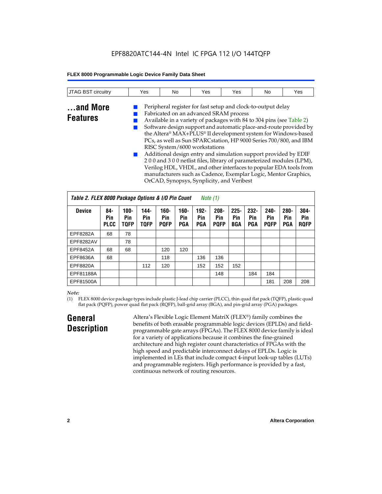### EPF8820ATC144-4N Intel IC FPGA 112 I/O 144TQFP

#### **FLEX 8000 Programmable Logic Device Family Data Sheet**

| JTAG BST circuitry          | Yes | No | Yes                                                                                                                                                                                                                                                                                                                                                                                                                                                                                                                                                                                                            | Yes | No | Yes                                                                                                                                    |
|-----------------------------|-----|----|----------------------------------------------------------------------------------------------------------------------------------------------------------------------------------------------------------------------------------------------------------------------------------------------------------------------------------------------------------------------------------------------------------------------------------------------------------------------------------------------------------------------------------------------------------------------------------------------------------------|-----|----|----------------------------------------------------------------------------------------------------------------------------------------|
| and More<br><b>Features</b> |     |    | Peripheral register for fast setup and clock-to-output delay<br>Fabricated on an advanced SRAM process<br>Available in a variety of packages with 84 to 304 pins (see Table 2)<br>the Altera® MAX+PLUS® II development system for Windows-based<br>PCs, as well as Sun SPARCstation, HP 9000 Series 700/800, and IBM<br>RISC System/6000 workstations<br>Additional design entry and simulation support provided by EDIF<br>200 and 300 netlist files, library of parameterized modules (LPM),<br>manufacturers such as Cadence, Exemplar Logic, Mentor Graphics,<br>OrCAD, Synopsys, Synplicity, and Veribest |     |    | Software design support and automatic place-and-route provided by<br>Verilog HDL, VHDL, and other interfaces to popular EDA tools from |

| Table 2. FLEX 8000 Package Options & I/O Pin Count<br><i>Note</i> $(1)$ |                           |                               |                            |                               |                              |                       |                               |                              |                              |                               |                              |                               |
|-------------------------------------------------------------------------|---------------------------|-------------------------------|----------------------------|-------------------------------|------------------------------|-----------------------|-------------------------------|------------------------------|------------------------------|-------------------------------|------------------------------|-------------------------------|
| <b>Device</b>                                                           | 84-<br>Pin<br><b>PLCC</b> | $100 -$<br>Pin<br><b>TOFP</b> | 144-<br>Pin<br><b>TQFP</b> | $160 -$<br>Pin<br><b>POFP</b> | $160 -$<br>Pin<br><b>PGA</b> | $192 -$<br>Pin<br>PGA | $208 -$<br>Pin<br><b>POFP</b> | $225 -$<br>Pin<br><b>BGA</b> | $232 -$<br>Pin<br><b>PGA</b> | $240 -$<br>Pin<br><b>POFP</b> | $280 -$<br>Pin<br><b>PGA</b> | $304 -$<br>Pin<br><b>ROFP</b> |
| EPF8282A                                                                | 68                        | 78                            |                            |                               |                              |                       |                               |                              |                              |                               |                              |                               |
| EPF8282AV                                                               |                           | 78                            |                            |                               |                              |                       |                               |                              |                              |                               |                              |                               |
| EPF8452A                                                                | 68                        | 68                            |                            | 120                           | 120                          |                       |                               |                              |                              |                               |                              |                               |
| EPF8636A                                                                | 68                        |                               |                            | 118                           |                              | 136                   | 136                           |                              |                              |                               |                              |                               |
| EPF8820A                                                                |                           |                               | 112                        | 120                           |                              | 152                   | 152                           | 152                          |                              |                               |                              |                               |
| EPF81188A                                                               |                           |                               |                            |                               |                              |                       | 148                           |                              | 184                          | 184                           |                              |                               |
| EPF81500A                                                               |                           |                               |                            |                               |                              |                       |                               |                              |                              | 181                           | 208                          | 208                           |

#### *Note:*

(1) FLEX 8000 device package types include plastic J-lead chip carrier (PLCC), thin quad flat pack (TQFP), plastic quad flat pack (PQFP), power quad flat pack (RQFP), ball-grid array (BGA), and pin-grid array (PGA) packages.

### **General Description**

Altera's Flexible Logic Element MatriX (FLEX®) family combines the benefits of both erasable programmable logic devices (EPLDs) and fieldprogrammable gate arrays (FPGAs). The FLEX 8000 device family is ideal for a variety of applications because it combines the fine-grained architecture and high register count characteristics of FPGAs with the high speed and predictable interconnect delays of EPLDs. Logic is implemented in LEs that include compact 4-input look-up tables (LUTs) and programmable registers. High performance is provided by a fast, continuous network of routing resources.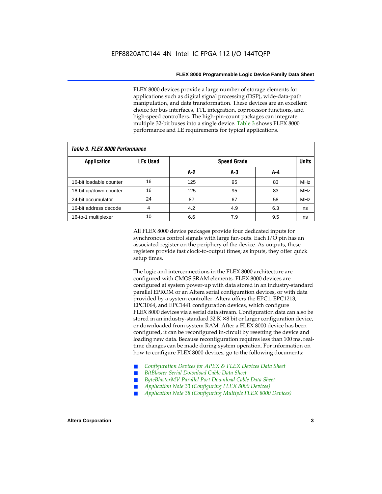FLEX 8000 devices provide a large number of storage elements for applications such as digital signal processing (DSP), wide-data-path manipulation, and data transformation. These devices are an excellent choice for bus interfaces, TTL integration, coprocessor functions, and high-speed controllers. The high-pin-count packages can integrate multiple 32-bit buses into a single device. Table 3 shows FLEX 8000 performance and LE requirements for typical applications.

| Tadie S. Flex ouuu perioriitailce |                 |       |                    |     |            |  |  |  |  |  |  |
|-----------------------------------|-----------------|-------|--------------------|-----|------------|--|--|--|--|--|--|
| <b>Application</b>                | <b>LEs Used</b> |       | <b>Speed Grade</b> |     |            |  |  |  |  |  |  |
|                                   |                 | $A-2$ | A-3                | A-4 |            |  |  |  |  |  |  |
| 16-bit loadable counter           | 16              | 125   | 95                 | 83  | <b>MHz</b> |  |  |  |  |  |  |
| 16-bit up/down counter            | 16              | 125   | 95                 | 83  | <b>MHz</b> |  |  |  |  |  |  |
| 24-bit accumulator                | 24              | 87    | 67                 | 58  | <b>MHz</b> |  |  |  |  |  |  |
| 16-bit address decode             | 4               | 4.2   | 4.9                | 6.3 | ns         |  |  |  |  |  |  |
| 16-to-1 multiplexer               | 10              | 6.6   | 7.9                | 9.5 | ns         |  |  |  |  |  |  |

### *Table 3. FLEX 8000 Performance*

All FLEX 8000 device packages provide four dedicated inputs for synchronous control signals with large fan-outs. Each I/O pin has an associated register on the periphery of the device. As outputs, these registers provide fast clock-to-output times; as inputs, they offer quick setup times.

The logic and interconnections in the FLEX 8000 architecture are configured with CMOS SRAM elements. FLEX 8000 devices are configured at system power-up with data stored in an industry-standard parallel EPROM or an Altera serial configuration devices, or with data provided by a system controller. Altera offers the EPC1, EPC1213, EPC1064, and EPC1441 configuration devices, which configure FLEX 8000 devices via a serial data stream. Configuration data can also be stored in an industry-standard  $32 K \times 8$  bit or larger configuration device, or downloaded from system RAM. After a FLEX 8000 device has been configured, it can be reconfigured in-circuit by resetting the device and loading new data. Because reconfiguration requires less than 100 ms, realtime changes can be made during system operation. For information on how to configure FLEX 8000 devices, go to the following documents:

- Configuration Devices for APEX & FLEX Devices Data Sheet
- $BitBlaster$  Serial Download Cable Data Sheet
- ByteBlasterMV Parallel Port Download Cable Data Sheet
- *Application Note 33 (Configuring FLEX 8000 Devices)*
- *Application Note 38 (Configuring Multiple FLEX 8000 Devices)*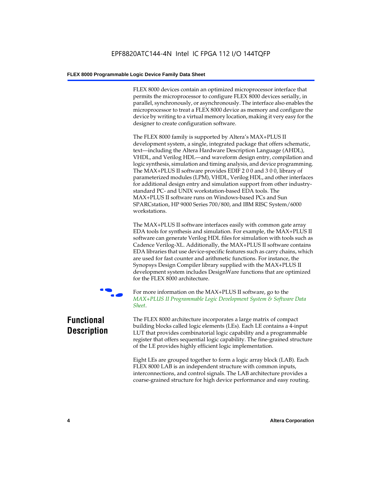FLEX 8000 devices contain an optimized microprocessor interface that permits the microprocessor to configure FLEX 8000 devices serially, in parallel, synchronously, or asynchronously. The interface also enables the microprocessor to treat a FLEX 8000 device as memory and configure the device by writing to a virtual memory location, making it very easy for the designer to create configuration software.

The FLEX 8000 family is supported by Altera's MAX+PLUS II development system, a single, integrated package that offers schematic, text—including the Altera Hardware Description Language (AHDL), VHDL, and Verilog HDL—and waveform design entry, compilation and logic synthesis, simulation and timing analysis, and device programming. The MAX+PLUS II software provides EDIF 2 0 0 and 3 0 0, library of parameterized modules (LPM), VHDL, Verilog HDL, and other interfaces for additional design entry and simulation support from other industrystandard PC- and UNIX workstation-based EDA tools. The MAX+PLUS II software runs on Windows-based PCs and Sun SPARCstation, HP 9000 Series 700/800, and IBM RISC System/6000 workstations.

The MAX+PLUS II software interfaces easily with common gate array EDA tools for synthesis and simulation. For example, the MAX+PLUS II software can generate Verilog HDL files for simulation with tools such as Cadence Verilog-XL. Additionally, the MAX+PLUS II software contains EDA libraries that use device-specific features such as carry chains, which are used for fast counter and arithmetic functions. For instance, the Synopsys Design Compiler library supplied with the MAX+PLUS II development system includes DesignWare functions that are optimized for the FLEX 8000 architecture.



For more information on the MAX+PLUS II software, go to the *MAX+PLUS II Programmable Logic Development System & Software Data Sheet*.

## **Functional Description**

The FLEX 8000 architecture incorporates a large matrix of compact building blocks called logic elements (LEs). Each LE contains a 4-input LUT that provides combinatorial logic capability and a programmable register that offers sequential logic capability. The fine-grained structure of the LE provides highly efficient logic implementation.

Eight LEs are grouped together to form a logic array block (LAB). Each FLEX 8000 LAB is an independent structure with common inputs, interconnections, and control signals. The LAB architecture provides a coarse-grained structure for high device performance and easy routing.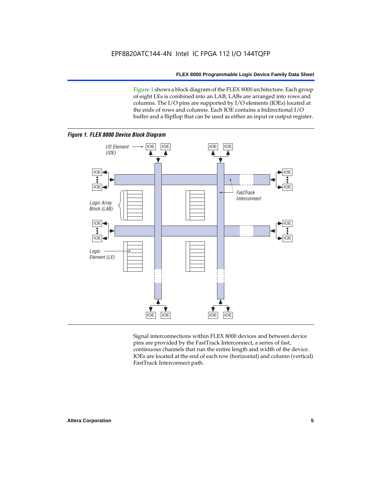Figure 1 shows a block diagram of the FLEX 8000 architecture. Each group of eight LEs is combined into an LAB; LABs are arranged into rows and columns. The I/O pins are supported by I/O elements (IOEs) located at the ends of rows and columns. Each IOE contains a bidirectional I/O buffer and a flipflop that can be used as either an input or output register.



Signal interconnections within FLEX 8000 devices and between device pins are provided by the FastTrack Interconnect, a series of fast, continuous channels that run the entire length and width of the device. IOEs are located at the end of each row (horizontal) and column (vertical) FastTrack Interconnect path.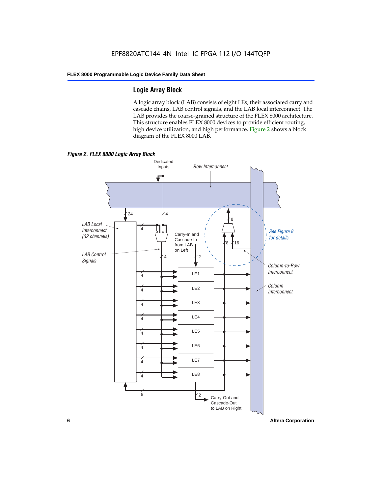### **Logic Array Block**

A logic array block (LAB) consists of eight LEs, their associated carry and cascade chains, LAB control signals, and the LAB local interconnect. The LAB provides the coarse-grained structure of the FLEX 8000 architecture. This structure enables FLEX 8000 devices to provide efficient routing, high device utilization, and high performance. Figure 2 shows a block diagram of the FLEX 8000 LAB.



**6 Altera Corporation**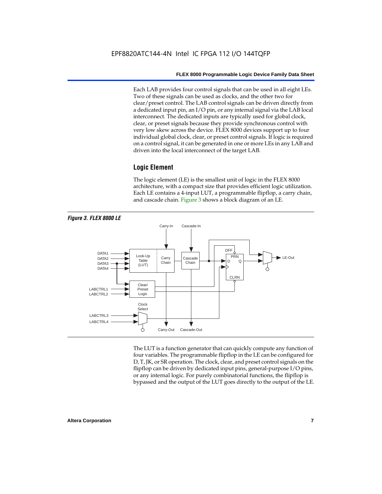Each LAB provides four control signals that can be used in all eight LEs. Two of these signals can be used as clocks, and the other two for clear/preset control. The LAB control signals can be driven directly from a dedicated input pin, an I/O pin, or any internal signal via the LAB local interconnect. The dedicated inputs are typically used for global clock, clear, or preset signals because they provide synchronous control with very low skew across the device. FLEX 8000 devices support up to four individual global clock, clear, or preset control signals. If logic is required on a control signal, it can be generated in one or more LEs in any LAB and driven into the local interconnect of the target LAB.

#### **Logic Element**

The logic element (LE) is the smallest unit of logic in the FLEX 8000 architecture, with a compact size that provides efficient logic utilization. Each LE contains a 4-input LUT, a programmable flipflop, a carry chain, and cascade chain. Figure 3 shows a block diagram of an LE.



The LUT is a function generator that can quickly compute any function of four variables. The programmable flipflop in the LE can be configured for D, T, JK, or SR operation. The clock, clear, and preset control signals on the flipflop can be driven by dedicated input pins, general-purpose I/O pins, or any internal logic. For purely combinatorial functions, the flipflop is bypassed and the output of the LUT goes directly to the output of the LE.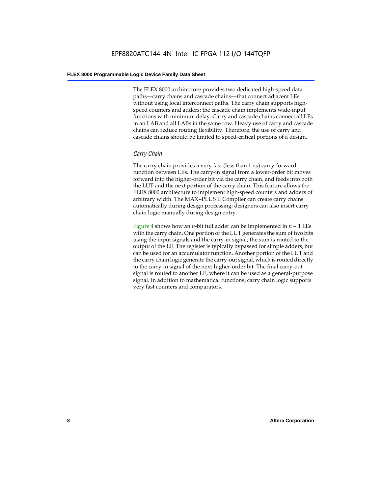The FLEX 8000 architecture provides two dedicated high-speed data paths—carry chains and cascade chains—that connect adjacent LEs without using local interconnect paths. The carry chain supports highspeed counters and adders; the cascade chain implements wide-input functions with minimum delay. Carry and cascade chains connect all LEs in an LAB and all LABs in the same row. Heavy use of carry and cascade chains can reduce routing flexibility. Therefore, the use of carry and cascade chains should be limited to speed-critical portions of a design.

#### *Carry Chain*

The carry chain provides a very fast (less than 1 ns) carry-forward function between LEs. The carry-in signal from a lower-order bit moves forward into the higher-order bit via the carry chain, and feeds into both the LUT and the next portion of the carry chain. This feature allows the FLEX 8000 architecture to implement high-speed counters and adders of arbitrary width. The MAX+PLUS II Compiler can create carry chains automatically during design processing; designers can also insert carry chain logic manually during design entry.

Figure 4 shows how an *n*-bit full adder can be implemented in *n* + 1 LEs with the carry chain. One portion of the LUT generates the sum of two bits using the input signals and the carry-in signal; the sum is routed to the output of the LE. The register is typically bypassed for simple adders, but can be used for an accumulator function. Another portion of the LUT and the carry chain logic generate the carry-out signal, which is routed directly to the carry-in signal of the next-higher-order bit. The final carry-out signal is routed to another LE, where it can be used as a general-purpose signal. In addition to mathematical functions, carry chain logic supports very fast counters and comparators.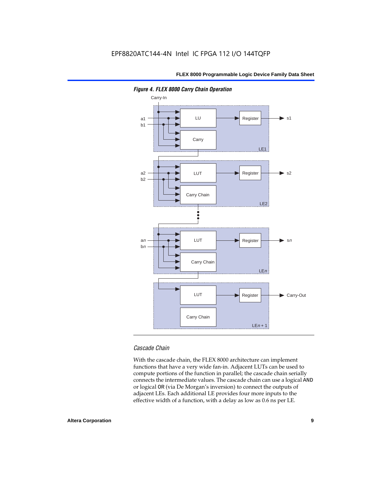

*Figure 4. FLEX 8000 Carry Chain Operation*

#### *Cascade Chain*

With the cascade chain, the FLEX 8000 architecture can implement functions that have a very wide fan-in. Adjacent LUTs can be used to compute portions of the function in parallel; the cascade chain serially connects the intermediate values. The cascade chain can use a logical AND or logical OR (via De Morgan's inversion) to connect the outputs of adjacent LEs. Each additional LE provides four more inputs to the effective width of a function, with a delay as low as 0.6 ns per LE.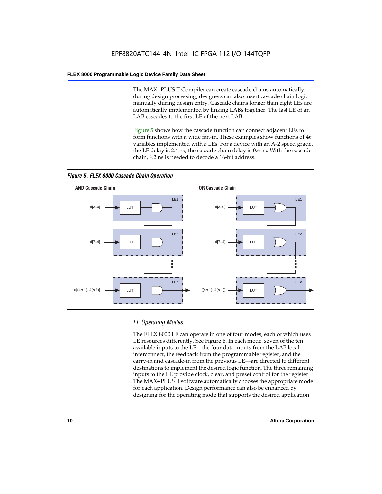The MAX+PLUS II Compiler can create cascade chains automatically during design processing; designers can also insert cascade chain logic manually during design entry. Cascade chains longer than eight LEs are automatically implemented by linking LABs together. The last LE of an LAB cascades to the first LE of the next LAB.

Figure 5 shows how the cascade function can connect adjacent LEs to form functions with a wide fan-in. These examples show functions of 4*n* variables implemented with *n* LEs. For a device with an A-2 speed grade, the LE delay is 2.4 ns; the cascade chain delay is 0.6 ns. With the cascade chain, 4.2 ns is needed to decode a 16-bit address.



*Figure 5. FLEX 8000 Cascade Chain Operation*

#### *LE Operating Modes*

The FLEX 8000 LE can operate in one of four modes, each of which uses LE resources differently. See Figure 6. In each mode, seven of the ten available inputs to the LE—the four data inputs from the LAB local interconnect, the feedback from the programmable register, and the carry-in and cascade-in from the previous LE—are directed to different destinations to implement the desired logic function. The three remaining inputs to the LE provide clock, clear, and preset control for the register. The MAX+PLUS II software automatically chooses the appropriate mode for each application. Design performance can also be enhanced by designing for the operating mode that supports the desired application.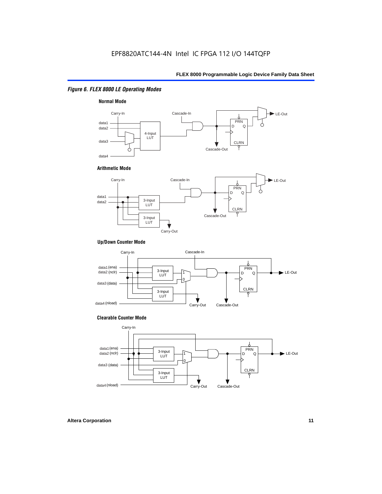#### *Figure 6. FLEX 8000 LE Operating Modes*



#### **Arithmetic Mode**



#### **Up/Down Counter Mode**



#### **Clearable Counter Mode**

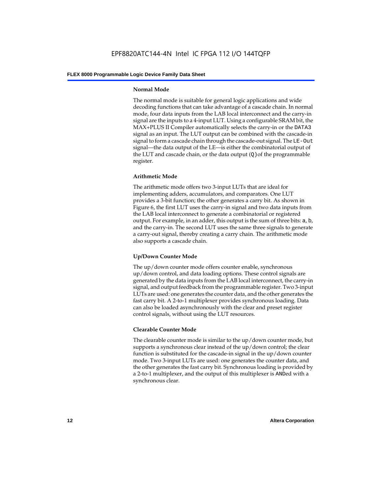#### **Normal Mode**

The normal mode is suitable for general logic applications and wide decoding functions that can take advantage of a cascade chain. In normal mode, four data inputs from the LAB local interconnect and the carry-in signal are the inputs to a 4-input LUT. Using a configurable SRAM bit, the MAX+PLUS II Compiler automatically selects the carry-in or the DATA3 signal as an input. The LUT output can be combined with the cascade-in signal to form a cascade chain through the cascade-out signal. The LE-Out signal—the data output of the LE—is either the combinatorial output of the LUT and cascade chain, or the data output  $(Q)$  of the programmable register.

#### **Arithmetic Mode**

The arithmetic mode offers two 3-input LUTs that are ideal for implementing adders, accumulators, and comparators. One LUT provides a 3-bit function; the other generates a carry bit. As shown in Figure 6, the first LUT uses the carry-in signal and two data inputs from the LAB local interconnect to generate a combinatorial or registered output. For example, in an adder, this output is the sum of three bits: a, b, and the carry-in. The second LUT uses the same three signals to generate a carry-out signal, thereby creating a carry chain. The arithmetic mode also supports a cascade chain.

#### **Up/Down Counter Mode**

The up/down counter mode offers counter enable, synchronous up/down control, and data loading options. These control signals are generated by the data inputs from the LAB local interconnect, the carry-in signal, and output feedback from the programmable register. Two 3-input LUTs are used: one generates the counter data, and the other generates the fast carry bit. A 2-to-1 multiplexer provides synchronous loading. Data can also be loaded asynchronously with the clear and preset register control signals, without using the LUT resources.

#### **Clearable Counter Mode**

The clearable counter mode is similar to the up/down counter mode, but supports a synchronous clear instead of the up/down control; the clear function is substituted for the cascade-in signal in the up/down counter mode. Two 3-input LUTs are used: one generates the counter data, and the other generates the fast carry bit. Synchronous loading is provided by a 2-to-1 multiplexer, and the output of this multiplexer is ANDed with a synchronous clear.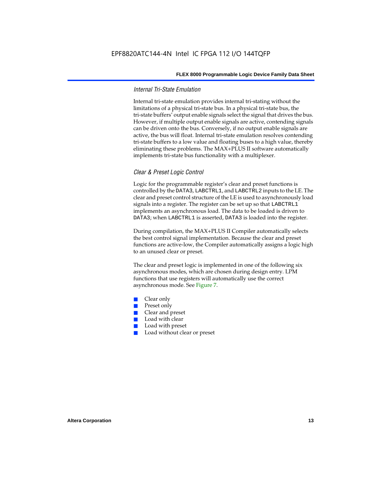#### *Internal Tri-State Emulation*

Internal tri-state emulation provides internal tri-stating without the limitations of a physical tri-state bus. In a physical tri-state bus, the tri-state buffers' output enable signals select the signal that drives the bus. However, if multiple output enable signals are active, contending signals can be driven onto the bus. Conversely, if no output enable signals are active, the bus will float. Internal tri-state emulation resolves contending tri-state buffers to a low value and floating buses to a high value, thereby eliminating these problems. The MAX+PLUS II software automatically implements tri-state bus functionality with a multiplexer.

#### *Clear & Preset Logic Control*

Logic for the programmable register's clear and preset functions is controlled by the DATA3, LABCTRL1, and LABCTRL2 inputs to the LE. The clear and preset control structure of the LE is used to asynchronously load signals into a register. The register can be set up so that LABCTRL1 implements an asynchronous load. The data to be loaded is driven to DATA3; when LABCTRL1 is asserted, DATA3 is loaded into the register.

During compilation, the MAX+PLUS II Compiler automatically selects the best control signal implementation. Because the clear and preset functions are active-low, the Compiler automatically assigns a logic high to an unused clear or preset.

The clear and preset logic is implemented in one of the following six asynchronous modes, which are chosen during design entry. LPM functions that use registers will automatically use the correct asynchronous mode. See Figure 7.

- Clear only
- Preset only
- Clear and preset
- Load with clear
- Load with preset
- Load without clear or preset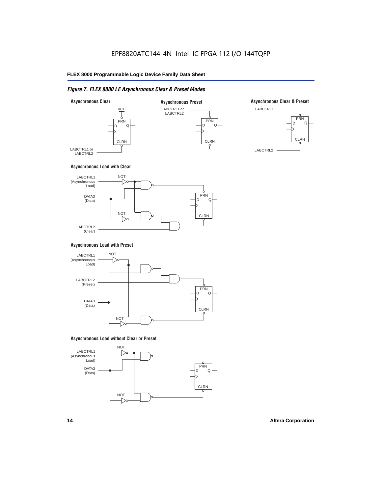#### *Figure 7. FLEX 8000 LE Asynchronous Clear & Preset Modes*



#### **Asynchronous Load with Clear**



#### **Asynchronous Load with Preset**



#### **Asynchronous Load without Clear or Preset**

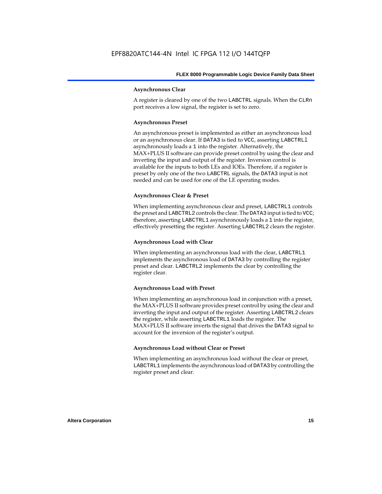#### **Asynchronous Clear**

A register is cleared by one of the two LABCTRL signals. When the CLRn port receives a low signal, the register is set to zero.

#### **Asynchronous Preset**

An asynchronous preset is implemented as either an asynchronous load or an asynchronous clear. If DATA3 is tied to VCC, asserting LABCTRLl asynchronously loads a 1 into the register. Alternatively, the MAX+PLUS II software can provide preset control by using the clear and inverting the input and output of the register. Inversion control is available for the inputs to both LEs and IOEs. Therefore, if a register is preset by only one of the two LABCTRL signals, the DATA3 input is not needed and can be used for one of the LE operating modes.

#### **Asynchronous Clear & Preset**

When implementing asynchronous clear and preset, LABCTRL1 controls the preset and LABCTRL2 controls the clear. The DATA3 input is tied to VCC; therefore, asserting LABCTRL1 asynchronously loads a 1 into the register, effectively presetting the register. Asserting LABCTRL2 clears the register.

#### **Asynchronous Load with Clear**

When implementing an asynchronous load with the clear, LABCTRL1 implements the asynchronous load of DATA3 by controlling the register preset and clear. LABCTRL2 implements the clear by controlling the register clear.

#### **Asynchronous Load with Preset**

When implementing an asynchronous load in conjunction with a preset, the MAX+PLUS II software provides preset control by using the clear and inverting the input and output of the register. Asserting LABCTRL2 clears the register, while asserting LABCTRL1 loads the register. The MAX+PLUS II software inverts the signal that drives the DATA3 signal to account for the inversion of the register's output.

#### **Asynchronous Load without Clear or Preset**

When implementing an asynchronous load without the clear or preset, LABCTRL1 implements the asynchronous load of DATA3 by controlling the register preset and clear.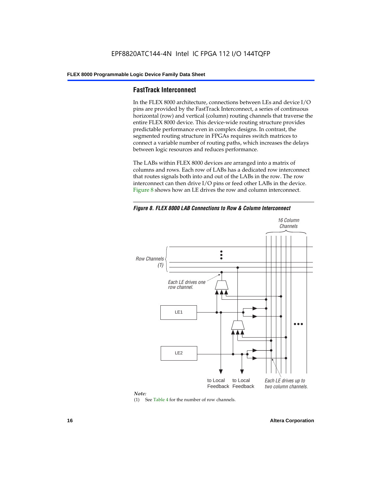#### **FastTrack Interconnect**

In the FLEX 8000 architecture, connections between LEs and device I/O pins are provided by the FastTrack Interconnect, a series of continuous horizontal (row) and vertical (column) routing channels that traverse the entire FLEX 8000 device. This device-wide routing structure provides predictable performance even in complex designs. In contrast, the segmented routing structure in FPGAs requires switch matrices to connect a variable number of routing paths, which increases the delays between logic resources and reduces performance.

The LABs within FLEX 8000 devices are arranged into a matrix of columns and rows. Each row of LABs has a dedicated row interconnect that routes signals both into and out of the LABs in the row. The row interconnect can then drive I/O pins or feed other LABs in the device. Figure 8 shows how an LE drives the row and column interconnect.

*Figure 8. FLEX 8000 LAB Connections to Row & Column Interconnect*





(1) See Table 4 for the number of row channels.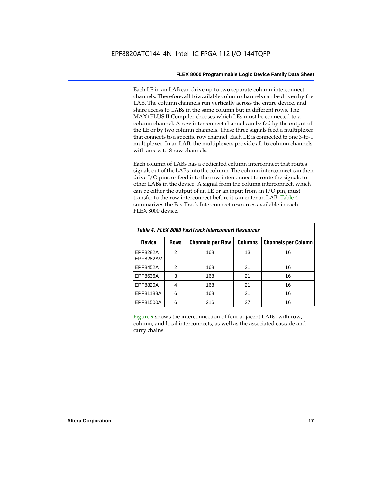Each LE in an LAB can drive up to two separate column interconnect channels. Therefore, all 16 available column channels can be driven by the LAB. The column channels run vertically across the entire device, and share access to LABs in the same column but in different rows. The MAX+PLUS II Compiler chooses which LEs must be connected to a column channel. A row interconnect channel can be fed by the output of the LE or by two column channels. These three signals feed a multiplexer that connects to a specific row channel. Each LE is connected to one 3-to-1 multiplexer. In an LAB, the multiplexers provide all 16 column channels with access to 8 row channels.

Each column of LABs has a dedicated column interconnect that routes signals out of the LABs into the column. The column interconnect can then drive I/O pins or feed into the row interconnect to route the signals to other LABs in the device. A signal from the column interconnect, which can be either the output of an LE or an input from an I/O pin, must transfer to the row interconnect before it can enter an LAB. Table 4 summarizes the FastTrack Interconnect resources available in each FLEX 8000 device.

| Table 4. FLEX 8000 FastTrack Interconnect Resources |                |                         |                |                            |  |  |  |  |  |  |
|-----------------------------------------------------|----------------|-------------------------|----------------|----------------------------|--|--|--|--|--|--|
| Device                                              | <b>Rows</b>    | <b>Channels per Row</b> | <b>Columns</b> | <b>Channels per Column</b> |  |  |  |  |  |  |
| EPF8282A<br>EPF8282AV                               | $\mathfrak{p}$ | 168                     | 13             | 16                         |  |  |  |  |  |  |
| EPF8452A                                            | 2              | 168                     | 21             | 16                         |  |  |  |  |  |  |
| EPF8636A                                            | 3              | 168                     | 21             | 16                         |  |  |  |  |  |  |
| EPF8820A                                            | 4              | 168                     | 21             | 16                         |  |  |  |  |  |  |
| EPF81188A                                           | 6              | 168                     | 21             | 16                         |  |  |  |  |  |  |
| EPF81500A                                           | 6              | 216                     | 27             | 16                         |  |  |  |  |  |  |

Figure 9 shows the interconnection of four adjacent LABs, with row, column, and local interconnects, as well as the associated cascade and carry chains.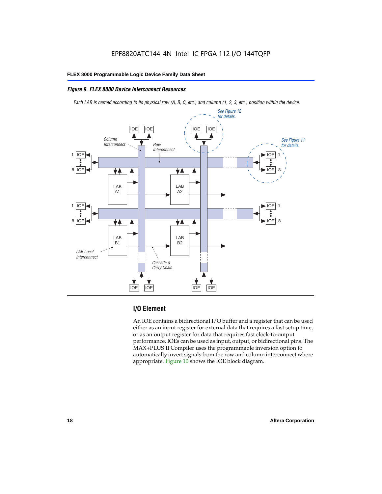#### *Figure 9. FLEX 8000 Device Interconnect Resources*

*Each LAB is named according to its physical row (A, B, C, etc.) and column (1, 2, 3, etc.) position within the device.*



#### **I/O Element**

An IOE contains a bidirectional I/O buffer and a register that can be used either as an input register for external data that requires a fast setup time, or as an output register for data that requires fast clock-to-output performance. IOEs can be used as input, output, or bidirectional pins. The MAX+PLUS II Compiler uses the programmable inversion option to automatically invert signals from the row and column interconnect where appropriate. Figure 10 shows the IOE block diagram.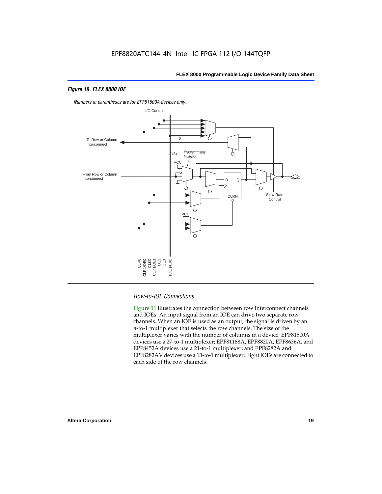#### *Figure 10. FLEX 8000 IOE*



*Numbers in parentheses are for EPF81500A devices only.*

#### *Row-to-IOE Connections*

Figure 11 illustrates the connection between row interconnect channels and IOEs. An input signal from an IOE can drive two separate row channels. When an IOE is used as an output, the signal is driven by an *n*-to-1 multiplexer that selects the row channels. The size of the multiplexer varies with the number of columns in a device. EPF81500A devices use a 27-to-1 multiplexer; EPF81188A, EPF8820A, EPF8636A, and EPF8452A devices use a 21-to-1 multiplexer; and EPF8282A and EPF8282AV devices use a 13-to-1 multiplexer. Eight IOEs are connected to each side of the row channels.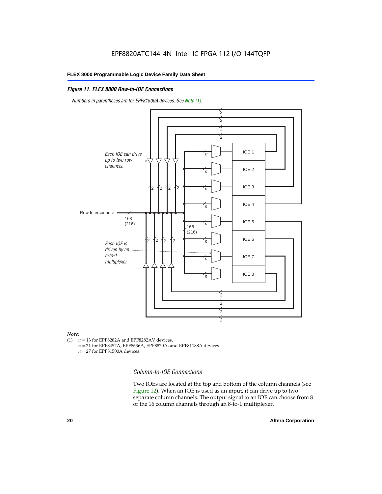#### *Figure 11. FLEX 8000 Row-to-IOE Connections*

*Numbers in parentheses are for EPF81500A devices. See Note (1).*



## *Note:*<br>(1) *n*

- $n = 13$  for EPF8282A and EPF8282AV devices.
	- *n* = 21 for EPF8452A, EPF8636A, EPF8820A, and EPF81188A devices.
	- *n* = 27 for EPF81500A devices.

*Column-to-IOE Connections*

Two IOEs are located at the top and bottom of the column channels (see Figure 12). When an IOE is used as an input, it can drive up to two separate column channels. The output signal to an IOE can choose from 8 of the 16 column channels through an 8-to-1 multiplexer.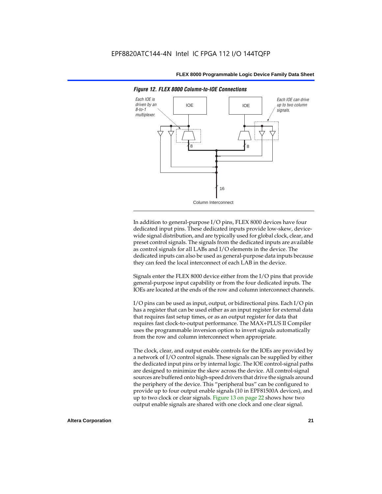

*Figure 12. FLEX 8000 Column-to-IOE Connections*

In addition to general-purpose I/O pins, FLEX 8000 devices have four dedicated input pins. These dedicated inputs provide low-skew, devicewide signal distribution, and are typically used for global clock, clear, and preset control signals. The signals from the dedicated inputs are available as control signals for all LABs and I/O elements in the device. The dedicated inputs can also be used as general-purpose data inputs because they can feed the local interconnect of each LAB in the device.

Signals enter the FLEX 8000 device either from the I/O pins that provide general-purpose input capability or from the four dedicated inputs. The IOEs are located at the ends of the row and column interconnect channels.

I/O pins can be used as input, output, or bidirectional pins. Each I/O pin has a register that can be used either as an input register for external data that requires fast setup times, or as an output register for data that requires fast clock-to-output performance. The MAX+PLUS II Compiler uses the programmable inversion option to invert signals automatically from the row and column interconnect when appropriate.

The clock, clear, and output enable controls for the IOEs are provided by a network of I/O control signals. These signals can be supplied by either the dedicated input pins or by internal logic. The IOE control-signal paths are designed to minimize the skew across the device. All control-signal sources are buffered onto high-speed drivers that drive the signals around the periphery of the device. This "peripheral bus" can be configured to provide up to four output enable signals (10 in EPF81500A devices), and up to two clock or clear signals. Figure 13 on page 22 shows how two output enable signals are shared with one clock and one clear signal.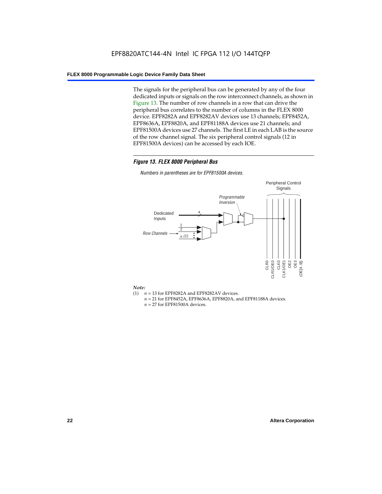The signals for the peripheral bus can be generated by any of the four dedicated inputs or signals on the row interconnect channels, as shown in Figure 13. The number of row channels in a row that can drive the peripheral bus correlates to the number of columns in the FLEX 8000 device. EPF8282A and EPF8282AV devices use 13 channels; EPF8452A, EPF8636A, EPF8820A, and EPF81188A devices use 21 channels; and EPF81500A devices use 27 channels. The first LE in each LAB is the source of the row channel signal. The six peripheral control signals (12 in EPF81500A devices) can be accessed by each IOE.

#### *Figure 13. FLEX 8000 Peripheral Bus*

*Numbers in parentheses are for EPF81500A devices.*



#### *Note:*

- (1)  $n = 13$  for EPF8282A and EPF8282AV devices.
	- *n* = 21 for EPF8452A, EPF8636A, EPF8820A, and EPF81188A devices.
	- *n* = 27 for EPF81500A devices.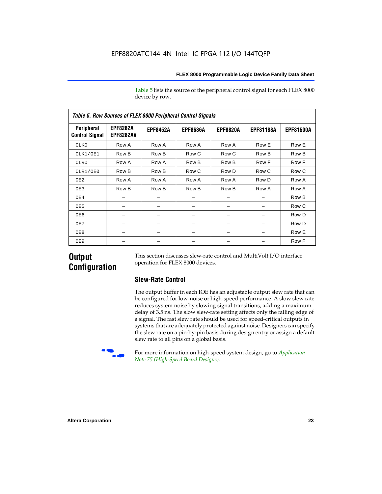Table 5 lists the source of the peripheral control signal for each FLEX 8000 device by row.

| <b>Table 5. Row Sources of FLEX 8000 Peripheral Control Signals</b> |                                     |                 |                 |                 |                  |                  |  |  |  |  |  |
|---------------------------------------------------------------------|-------------------------------------|-----------------|-----------------|-----------------|------------------|------------------|--|--|--|--|--|
| Peripheral<br><b>Control Signal</b>                                 | <b>EPF8282A</b><br><b>EPF8282AV</b> | <b>EPF8452A</b> | <b>EPF8636A</b> | <b>EPF8820A</b> | <b>EPF81188A</b> | <b>EPF81500A</b> |  |  |  |  |  |
| CLK0                                                                | Row A                               | Row A           | Row A           | Row A           | Row E            | Row E            |  |  |  |  |  |
| CLK1/OE1                                                            | Row B                               | Row B           | Row C           | Row C           | Row B            | Row B            |  |  |  |  |  |
| CLR0                                                                | Row A                               | Row A           | Row B           | Row B           | Row F            | Row F            |  |  |  |  |  |
| CLR1/OE0                                                            | Row B                               | Row B           | Row C           | Row D           | Row C            | Row C            |  |  |  |  |  |
| OE <sub>2</sub>                                                     | Row A                               | Row A           | Row A           | Row A           | Row D            | Row A            |  |  |  |  |  |
| OE3                                                                 | Row B                               | Row B           | Row B           | Row B           | Row A            | Row A            |  |  |  |  |  |
| OE4                                                                 |                                     |                 |                 |                 |                  | Row B            |  |  |  |  |  |
| OE5                                                                 |                                     |                 |                 |                 |                  | Row C            |  |  |  |  |  |
| OE6                                                                 |                                     |                 |                 |                 |                  | Row D            |  |  |  |  |  |
| OE7                                                                 |                                     |                 |                 |                 |                  | Row D            |  |  |  |  |  |
| OE8                                                                 |                                     |                 |                 |                 |                  | Row E            |  |  |  |  |  |
| OE9                                                                 |                                     |                 |                 |                 |                  | Row F            |  |  |  |  |  |

### **Output Configuration**

This section discusses slew-rate control and MultiVolt I/O interface operation for FLEX 8000 devices.

#### **Slew-Rate Control**

The output buffer in each IOE has an adjustable output slew rate that can be configured for low-noise or high-speed performance. A slow slew rate reduces system noise by slowing signal transitions, adding a maximum delay of 3.5 ns. The slow slew-rate setting affects only the falling edge of a signal. The fast slew rate should be used for speed-critical outputs in systems that are adequately protected against noise. Designers can specify the slew rate on a pin-by-pin basis during design entry or assign a default slew rate to all pins on a global basis.



For more information on high-speed system design, go to *Application Note 75 (High-Speed Board Designs)*.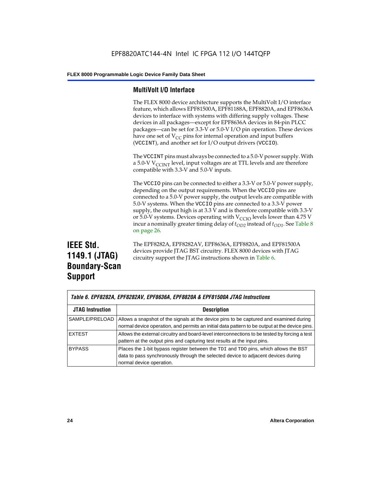#### **MultiVolt I/O Interface**

The FLEX 8000 device architecture supports the MultiVolt I/O interface feature, which allows EPF81500A, EPF81188A, EPF8820A, and EPF8636A devices to interface with systems with differing supply voltages. These devices in all packages—except for EPF8636A devices in 84-pin PLCC packages—can be set for 3.3-V or 5.0-V I/O pin operation. These devices have one set of  $V_{CC}$  pins for internal operation and input buffers (VCCINT), and another set for I/O output drivers (VCCIO).

The VCCINT pins must always be connected to a 5.0-V power supply. With a 5.0-V  $V_{\text{CCINT}}$  level, input voltages are at TTL levels and are therefore compatible with 3.3-V and 5.0-V inputs.

The VCCIO pins can be connected to either a 3.3-V or 5.0-V power supply, depending on the output requirements. When the VCCIO pins are connected to a 5.0-V power supply, the output levels are compatible with 5.0-V systems. When the VCCIO pins are connected to a 3.3-V power supply, the output high is at 3.3 V and is therefore compatible with 3.3-V or 5.0-V systems. Devices operating with  $V_{\text{C}CD}$  levels lower than 4.75 V incur a nominally greater timing delay of  $t_{OD2}$  instead of  $t_{OD1}$ . See Table 8 on page 26.

## **IEEE Std. 1149.1 (JTAG) Boundary-Scan Support**

The EPF8282A, EPF8282AV, EPF8636A, EPF8820A, and EPF81500A devices provide JTAG BST circuitry. FLEX 8000 devices with JTAG circuitry support the JTAG instructions shown in Table 6.

|                         | Table 6. EPF8282A, EPF8282AV, EPF8636A, EPF8820A & EPF81500A JTAG Instructions                                                                                                                       |  |  |  |  |  |  |
|-------------------------|------------------------------------------------------------------------------------------------------------------------------------------------------------------------------------------------------|--|--|--|--|--|--|
| <b>JTAG Instruction</b> | <b>Description</b>                                                                                                                                                                                   |  |  |  |  |  |  |
| SAMPLE/PRELOAD          | Allows a snapshot of the signals at the device pins to be captured and examined during<br>normal device operation, and permits an initial data pattern to be output at the device pins.              |  |  |  |  |  |  |
| <b>EXTEST</b>           | Allows the external circuitry and board-level interconnections to be tested by forcing a test<br>pattern at the output pins and capturing test results at the input pins.                            |  |  |  |  |  |  |
| <b>BYPASS</b>           | Places the 1-bit bypass register between the TDI and TDO pins, which allows the BST<br>data to pass synchronously through the selected device to adjacent devices during<br>normal device operation. |  |  |  |  |  |  |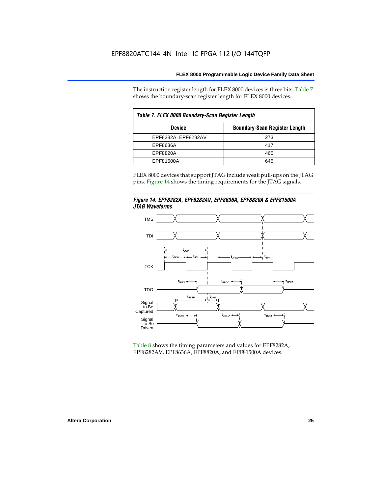The instruction register length for FLEX 8000 devices is three bits. Table 7 shows the boundary-scan register length for FLEX 8000 devices.

| Table 7. FLEX 8000 Boundary-Scan Register Length |                                      |  |  |  |  |  |  |
|--------------------------------------------------|--------------------------------------|--|--|--|--|--|--|
| <b>Device</b>                                    | <b>Boundary-Scan Register Length</b> |  |  |  |  |  |  |
| EPF8282A, EPF8282AV                              | 273                                  |  |  |  |  |  |  |
| EPF8636A                                         | 417                                  |  |  |  |  |  |  |
| EPF8820A                                         | 465                                  |  |  |  |  |  |  |
| EPF81500A                                        | 645                                  |  |  |  |  |  |  |

FLEX 8000 devices that support JTAG include weak pull-ups on the JTAG pins. Figure 14 shows the timing requirements for the JTAG signals.





Table 8 shows the timing parameters and values for EPF8282A, EPF8282AV, EPF8636A, EPF8820A, and EPF81500A devices.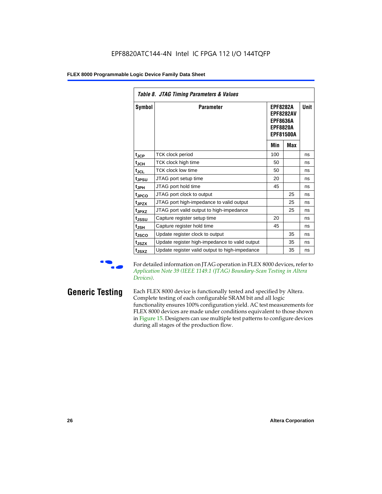| Table 8. JTAG Timing Parameters & Values |                                                |                                                                                               |     |             |  |  |  |  |  |
|------------------------------------------|------------------------------------------------|-----------------------------------------------------------------------------------------------|-----|-------------|--|--|--|--|--|
| Symbol                                   | <b>Parameter</b>                               | <b>EPF8282A</b><br><b>EPF8282AV</b><br><b>EPF8636A</b><br><b>EPF8820A</b><br><b>EPF81500A</b> |     | <b>Unit</b> |  |  |  |  |  |
|                                          |                                                | Min                                                                                           | Max |             |  |  |  |  |  |
| $t_{\rm JCP}$                            | TCK clock period                               | 100                                                                                           |     | ns          |  |  |  |  |  |
| $t_{JCH}$                                | TCK clock high time                            | 50                                                                                            |     | ns          |  |  |  |  |  |
| $t_{JCL}$                                | <b>TCK clock low time</b>                      | 50                                                                                            |     | ns          |  |  |  |  |  |
| t <sub>JPSU</sub>                        | JTAG port setup time                           | 20                                                                                            |     | ns          |  |  |  |  |  |
| t <sub>JPH</sub>                         | JTAG port hold time                            | 45                                                                                            |     | ns          |  |  |  |  |  |
| t <sub>JPCO</sub>                        | JTAG port clock to output                      |                                                                                               | 25  | ns          |  |  |  |  |  |
| t <sub>JPZX</sub>                        | JTAG port high-impedance to valid output       |                                                                                               | 25  | ns          |  |  |  |  |  |
| t <sub>JPXZ</sub>                        | JTAG port valid output to high-impedance       |                                                                                               | 25  | ns          |  |  |  |  |  |
| tjssu                                    | Capture register setup time                    | 20                                                                                            |     | ns          |  |  |  |  |  |
| t <sub>JSH</sub>                         | Capture register hold time                     | 45                                                                                            |     | ns          |  |  |  |  |  |
| t <sub>JSCO</sub>                        | Update register clock to output                |                                                                                               | 35  | ns          |  |  |  |  |  |
| t <sub>JSZX</sub>                        | Update register high-impedance to valid output |                                                                                               | 35  | ns          |  |  |  |  |  |
| t <sub>JSXZ</sub>                        | Update register valid output to high-impedance |                                                                                               | 35  | ns          |  |  |  |  |  |

For detailed information on JTAG operation in FLEX 8000 devices, refer to *Application Note 39 (IEEE 1149.1 (JTAG) Boundary-Scan Testing in Altera Devices)*.

**Generic Testing** Each FLEX 8000 device is functionally tested and specified by Altera. Complete testing of each configurable SRAM bit and all logic functionality ensures 100% configuration yield. AC test measurements for FLEX 8000 devices are made under conditions equivalent to those shown in Figure 15. Designers can use multiple test patterns to configure devices during all stages of the production flow.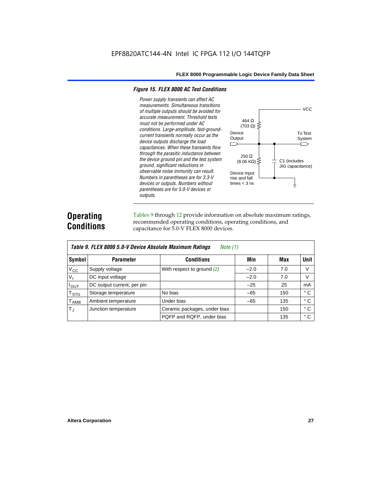#### *Figure 15. FLEX 8000 AC Test Conditions*

*Power supply transients can affect AC measurements. Simultaneous transitions of multiple outputs should be avoided for accurate measurement. Threshold tests*  464 Ω *must not be performed under AC*   $(703 \Omega)$ *conditions. Large-amplitude, fast-ground-*Device To Test *current transients normally occur as the*  **Output** System *device outputs discharge the load*   $\Box$ *capacitances. When these transients flow through the parasitic inductance between*  250 Ω *the device ground pin and the test system*   $(8.06 \text{ K}\Omega)$ C1 (includes *ground, significant reductions in*  JIG capacitance) *observable noise immunity can result.*  Device input *Numbers in parentheses are for 3.3-V*  rise and fall *devices or outputs. Numbers without*  times  $<$  3 ns ╧ *parentheses are for 5.0-V devices or outputs.*

## **Operating Conditions**

Tables 9 through 12 provide information on absolute maximum ratings, recommended operating conditions, operating conditions, and capacitance for 5.0-V FLEX 8000 devices.

|                             | Table 9. FLEX 8000 5.0-V Device Absolute Maximum Ratings<br>Note (1) |                              |        |     |              |  |  |  |  |  |  |
|-----------------------------|----------------------------------------------------------------------|------------------------------|--------|-----|--------------|--|--|--|--|--|--|
| Symbol                      | <b>Parameter</b>                                                     | <b>Conditions</b>            | Min    | Max | <b>Unit</b>  |  |  |  |  |  |  |
| $V_{CC}$                    | Supply voltage                                                       | With respect to ground $(2)$ | $-2.0$ | 7.0 | V            |  |  |  |  |  |  |
| $V_{1}$                     | DC input voltage                                                     |                              | $-2.0$ | 7.0 | V            |  |  |  |  |  |  |
| $I_{\text{OUT}}$            | DC output current, per pin                                           |                              | $-25$  | 25  | mA           |  |  |  |  |  |  |
| T <sub>STG</sub>            | Storage temperature                                                  | No bias                      | $-65$  | 150 | $^{\circ}$ C |  |  |  |  |  |  |
| $\mathsf{T}_{\mathsf{AMB}}$ | Ambient temperature                                                  | Under bias                   | $-65$  | 135 | $^{\circ}$ C |  |  |  |  |  |  |
| $T_{\rm J}$                 | Junction temperature                                                 | Ceramic packages, under bias |        | 150 | $^{\circ}$ C |  |  |  |  |  |  |
|                             |                                                                      | PQFP and RQFP, under bias    |        | 135 | $^{\circ}$ C |  |  |  |  |  |  |

**VCC** 

⌒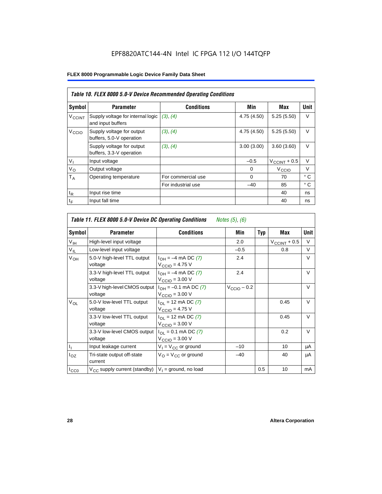|                          | Table 10. FLEX 8000 5.0-V Device Recommended Operating Conditions |                    |             |                          |              |  |  |  |  |  |
|--------------------------|-------------------------------------------------------------------|--------------------|-------------|--------------------------|--------------|--|--|--|--|--|
| Symbol                   | <b>Parameter</b>                                                  | <b>Conditions</b>  | Min         | Max                      | Unit         |  |  |  |  |  |
| <b>V<sub>CCINT</sub></b> | Supply voltage for internal logic<br>and input buffers            | (3), (4)           | 4.75 (4.50) | 5.25(5.50)               | $\vee$       |  |  |  |  |  |
| V <sub>CCIO</sub>        | Supply voltage for output<br>buffers, 5.0-V operation             | (3), (4)           | 4.75 (4.50) | 5.25(5.50)               | $\vee$       |  |  |  |  |  |
|                          | Supply voltage for output<br>buffers, 3.3-V operation             | (3), (4)           | 3.00(3.00)  | 3.60(3.60)               | V            |  |  |  |  |  |
| $V_{I}$                  | Input voltage                                                     |                    | $-0.5$      | $V_{\text{CCINT}} + 0.5$ | $\vee$       |  |  |  |  |  |
| $V_{\rm O}$              | Output voltage                                                    |                    | 0           | V <sub>CCIO</sub>        | $\vee$       |  |  |  |  |  |
| $T_A$                    | Operating temperature                                             | For commercial use | $\Omega$    | 70                       | $^{\circ}$ C |  |  |  |  |  |
|                          |                                                                   | For industrial use | $-40$       | 85                       | $^{\circ}$ C |  |  |  |  |  |
| $t_{R}$                  | Input rise time                                                   |                    |             | 40                       | ns           |  |  |  |  |  |
| $t_F$                    | Input fall time                                                   |                    |             | 40                       | ns           |  |  |  |  |  |

|                           | Table 11. FLEX 8000 5.0-V Device DC Operating Conditions<br>Notes (5), (6) |                                                                   |                         |            |                          |        |  |  |  |  |  |
|---------------------------|----------------------------------------------------------------------------|-------------------------------------------------------------------|-------------------------|------------|--------------------------|--------|--|--|--|--|--|
| Symbol                    | <b>Parameter</b>                                                           | <b>Conditions</b>                                                 | Min                     | <b>Typ</b> | Max                      | Unit   |  |  |  |  |  |
| V <sub>IH</sub>           | High-level input voltage                                                   |                                                                   | 2.0                     |            | $V_{\text{CCINT}} + 0.5$ | $\vee$ |  |  |  |  |  |
| $V_{IL}$                  | Low-level input voltage                                                    |                                                                   | $-0.5$                  |            | 0.8                      | V      |  |  |  |  |  |
| V <sub>OH</sub>           | 5.0-V high-level TTL output<br>voltage                                     | $I_{OH} = -4$ mA DC (7)<br>$V_{\text{CCIO}} = 4.75 V$             | 2.4                     |            |                          | V      |  |  |  |  |  |
|                           | 3.3-V high-level TTL output<br>voltage                                     | $I_{OH} = -4$ mA DC (7)<br>$V_{\text{CCIO}} = 3.00 \text{ V}$     | 2.4                     |            |                          | $\vee$ |  |  |  |  |  |
|                           | 3.3-V high-level CMOS output<br>voltage                                    | $I_{OH} = -0.1$ mA DC (7)<br>$V_{\text{CCIO}} = 3.00 \text{ V}$   | $V_{\text{CCIO}} - 0.2$ |            |                          | $\vee$ |  |  |  |  |  |
| $V_{OL}$                  | 5.0-V low-level TTL output<br>voltage                                      | $I_{OL}$ = 12 mA DC (7)<br>$V_{\text{CCIO}} = 4.75 V$             |                         |            | 0.45                     | V      |  |  |  |  |  |
|                           | 3.3-V low-level TTL output<br>voltage                                      | $I_{\Omega}$ = 12 mA DC (7)<br>$V_{\text{CCIO}} = 3.00 \text{ V}$ |                         |            | 0.45                     | $\vee$ |  |  |  |  |  |
|                           | 3.3-V low-level CMOS output<br>voltage                                     | $I_{OL} = 0.1$ mA DC (7)<br>$VCCIO = 3.00 V$                      |                         |            | 0.2                      | $\vee$ |  |  |  |  |  |
| $\mathbf{I}_{\mathbf{I}}$ | Input leakage current                                                      | $V_1 = V_{CC}$ or ground                                          | $-10$                   |            | 10                       | μA     |  |  |  |  |  |
| $I_{OZ}$                  | Tri-state output off-state<br>current                                      | $V_{\Omega} = V_{\Omega}$ or ground                               | $-40$                   |            | 40                       | μA     |  |  |  |  |  |
| ICCO                      | $V_{CC}$ supply current (standby) $ V_1 $ = ground, no load                |                                                                   |                         | 0.5        | 10                       | mA     |  |  |  |  |  |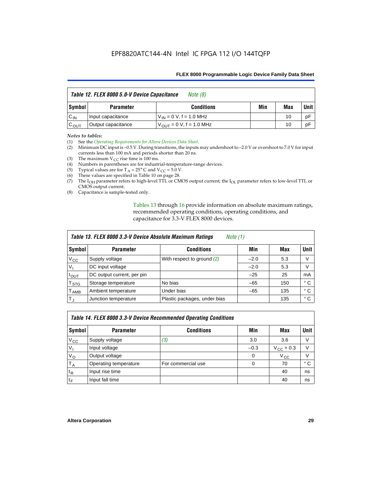|                  | Table 12. FLEX 8000 5.0-V Device Capacitance | Note (8)                      |     |     |             |
|------------------|----------------------------------------------|-------------------------------|-----|-----|-------------|
| Symbol           | <b>Parameter</b>                             | <b>Conditions</b>             | Min | Max | <b>Unit</b> |
| $C_{IN}$         | Input capacitance                            | $V_{IN} = 0 V, f = 1.0 MHz$   |     | 10  | рF          |
| $C_{\text{OUT}}$ | Output capacitance                           | $V_{OIII}$ = 0 V, f = 1.0 MHz |     | 10  | рF          |

#### *Notes to tables:*

(1) See the *Operating Requirements for Altera Devices Data Sheet*.

- (2) Minimum DC input is –0.5 V. During transitions, the inputs may undershoot to –2.0 V or overshoot to 7.0 V for input currents less than 100 mA and periods shorter than 20 ns.
- (3) The maximum  $V_{CC}$  rise time is 100 ms.
- (4) Numbers in parentheses are for industrial-temperature-range devices.
- (5) Typical values are for  $T_A = 25^\circ$  C and  $V_{CC} = 5.0$  V.
- (6) These values are specified in Table 10 on page 28.
- (7) The  $I_{OH}$  parameter refers to high-level TTL or CMOS output current; the  $I_{OL}$  parameter refers to low-level TTL or CMOS output current.
- (8) Capacitance is sample-tested only.

Tables 13 through 16 provide information on absolute maximum ratings, recommended operating conditions, operating conditions, and capacitance for 3.3-V FLEX 8000 devices.

| Table 13. FLEX 8000 3.3-V Device Absolute Maximum Ratings<br><i>Note</i> $(1)$ |                            |                              |        |     |              |  |  |
|--------------------------------------------------------------------------------|----------------------------|------------------------------|--------|-----|--------------|--|--|
| Symbol                                                                         | <b>Parameter</b>           | <b>Conditions</b>            | Min    | Max | <b>Unit</b>  |  |  |
| $V_{\rm CC}$                                                                   | Supply voltage             | With respect to ground (2)   | $-2.0$ | 5.3 | V            |  |  |
| V <sub>1</sub>                                                                 | DC input voltage           |                              | $-2.0$ | 5.3 | V            |  |  |
| $I_{\text{OUT}}$                                                               | DC output current, per pin |                              | $-25$  | 25  | mA           |  |  |
| T <sub>STG</sub>                                                               | Storage temperature        | No bias                      | $-65$  | 150 | $^{\circ}$ C |  |  |
| <b>TAMB</b>                                                                    | Ambient temperature        | Under bias                   | $-65$  | 135 | $^{\circ}$ C |  |  |
| $T_J$                                                                          | Junction temperature       | Plastic packages, under bias |        | 135 | ° C          |  |  |

|              | Table 14. FLEX 8000 3.3-V Device Recommended Operating Conditions |                    |          |                    |        |  |  |  |
|--------------|-------------------------------------------------------------------|--------------------|----------|--------------------|--------|--|--|--|
| Symbol       | <b>Parameter</b>                                                  | <b>Conditions</b>  | Min      | Max                | Unit I |  |  |  |
| $V_{\rm CC}$ | Supply voltage                                                    | (3)                | 3.0      | 3.6                | V      |  |  |  |
| $V_{1}$      | Input voltage                                                     |                    | $-0.3$   | $V_{\rm CC}$ + 0.3 | $\vee$ |  |  |  |
| $V_{\rm O}$  | Output voltage                                                    |                    | $\Omega$ | $V_{\rm CC}$       | $\vee$ |  |  |  |
| $T_A$        | Operating temperature                                             | For commercial use | 0        | 70                 | ۰c     |  |  |  |
| $t_{R}$      | Input rise time                                                   |                    |          | 40                 | ns     |  |  |  |
| $t_F$        | Input fall time                                                   |                    |          | 40                 | ns     |  |  |  |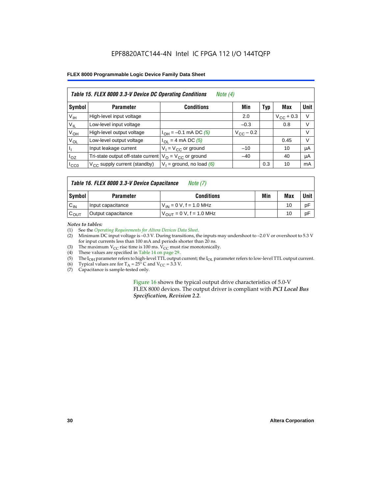#### EPF8820ATC144-4N Intel IC FPGA 112 I/O 144TQFP

#### **FLEX 8000 Programmable Logic Device Family Data Sheet**

| Table 15. FLEX 8000 3.3-V Device DC Operating Conditions<br>Note $(4)$ |                                          |                                          |                    |     |                    |             |  |  |
|------------------------------------------------------------------------|------------------------------------------|------------------------------------------|--------------------|-----|--------------------|-------------|--|--|
| Symbol                                                                 | <b>Parameter</b>                         | <b>Conditions</b>                        | Min                | Typ | Max                | <b>Unit</b> |  |  |
| V <sub>IH</sub>                                                        | High-level input voltage                 |                                          | 2.0                |     | $V_{\rm CC}$ + 0.3 | $\vee$      |  |  |
| $V_{IL}$                                                               | Low-level input voltage                  |                                          | $-0.3$             |     | 0.8                | V           |  |  |
| $V_{OH}$                                                               | High-level output voltage                | $I_{OH} = -0.1$ mA DC (5)                | $V_{\rm CC}$ – 0.2 |     |                    | V           |  |  |
| $V_{OL}$                                                               | Low-level output voltage                 | $I_{OL}$ = 4 mA DC (5)                   |                    |     | 0.45               | $\vee$      |  |  |
| Пı                                                                     | Input leakage current                    | $V_1 = V_{CC}$ or ground                 | $-10$              |     | 10                 | μA          |  |  |
| $I_{OZ}$                                                               | Tri-state output off-state current       | $V_{\text{O}} = V_{\text{CC}}$ or ground | $-40$              |     | 40                 | μA          |  |  |
| ICCO                                                                   | $V_{\text{CC}}$ supply current (standby) | $V_1$ = ground, no load (6)              |                    | 0.3 | 10                 | mA          |  |  |

#### *Table 16. FLEX 8000 3.3-V Device Capacitance Note (7)*

| Symbol           | <b>Parameter</b>   | <b>Conditions</b>                   | Min | Max | Unit |
|------------------|--------------------|-------------------------------------|-----|-----|------|
| $C_{IN}$         | Input capacitance  | $V_{IN} = 0 V$ , f = 1.0 MHz        |     | 10  | рF   |
| $c_{\text{OUT}}$ | Output capacitance | $V_{\text{OUT}} = 0 V, f = 1.0 MHz$ |     | 10  | рF   |

#### *Notes to tables:*

(1) See the *Operating Requirements for Altera Devices Data Sheet*.

- (2) Minimum DC input voltage is –0.3 V. During transitions, the inputs may undershoot to –2.0 V or overshoot to 5.3 V for input currents less than 100 mA and periods shorter than 20 ns.
- (3) The maximum  $V_{CC}$  rise time is 100 ms.  $V_{CC}$  must rise monotonically.<br>(4) These values are specified in Table 14 on page 29.
- These values are specified in Table 14 on page 29.
- (5) The I<sub>OH</sub> parameter refers to high-level TTL output current; the I<sub>OL</sub> parameter refers to low-level TTL output current.<br>(6) Typical values are for T<sub>A</sub> = 25° C and V<sub>CC</sub> = 3.3 V.
- (6) Typical values are for  $T_A = 25^\circ$  C and  $V_{CC} = 3.3$  V.<br>(7) Capacitance is sample-tested only.
- Capacitance is sample-tested only.

Figure 16 shows the typical output drive characteristics of 5.0-V FLEX 8000 devices. The output driver is compliant with *PCI Local Bus Specification, Revision 2.2*.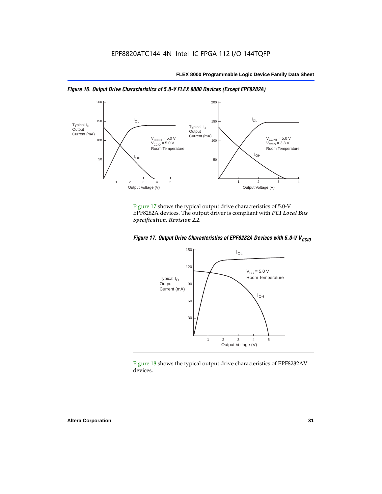



Figure 17 shows the typical output drive characteristics of 5.0-V EPF8282A devices. The output driver is compliant with *PCI Local Bus Specification, Revision 2.2*.





Figure 18 shows the typical output drive characteristics of EPF8282AV devices.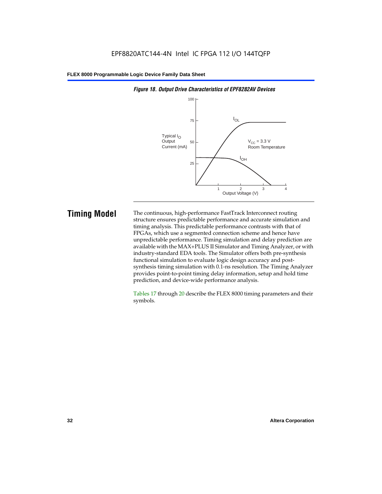

#### *Figure 18. Output Drive Characteristics of EPF8282AV Devices*

**Timing Model** The continuous, high-performance FastTrack Interconnect routing structure ensures predictable performance and accurate simulation and timing analysis. This predictable performance contrasts with that of FPGAs, which use a segmented connection scheme and hence have unpredictable performance. Timing simulation and delay prediction are available with the MAX+PLUS II Simulator and Timing Analyzer, or with industry-standard EDA tools. The Simulator offers both pre-synthesis functional simulation to evaluate logic design accuracy and postsynthesis timing simulation with 0.1-ns resolution. The Timing Analyzer provides point-to-point timing delay information, setup and hold time prediction, and device-wide performance analysis.

> Tables 17 through 20 describe the FLEX 8000 timing parameters and their symbols.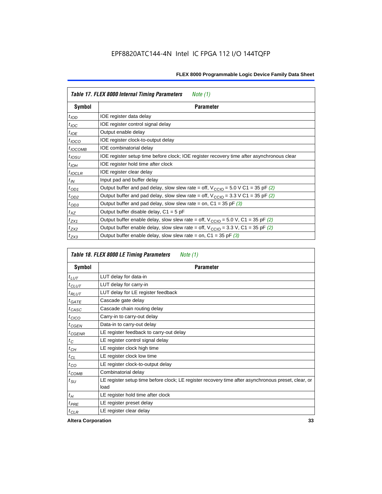| Table 17. FLEX 8000 Internal Timing Parameters<br>Note $(1)$ |                                                                                                              |  |  |  |
|--------------------------------------------------------------|--------------------------------------------------------------------------------------------------------------|--|--|--|
| Symbol                                                       | <b>Parameter</b>                                                                                             |  |  |  |
| $t_{\text{IOD}}$                                             | IOE register data delay                                                                                      |  |  |  |
| $t_{\text{IOC}}$                                             | IOE register control signal delay                                                                            |  |  |  |
| $t_{IOE}$                                                    | Output enable delay                                                                                          |  |  |  |
| $t_{IOCO}$                                                   | IOE register clock-to-output delay                                                                           |  |  |  |
| $t_{IOCOMB}$                                                 | IOE combinatorial delay                                                                                      |  |  |  |
| $t_{IOSU}$                                                   | IOE register setup time before clock; IOE register recovery time after asynchronous clear                    |  |  |  |
| $t_{IOH}$                                                    | IOE register hold time after clock                                                                           |  |  |  |
| $t_{IOCLR}$                                                  | IOE register clear delay                                                                                     |  |  |  |
| $t_{IN}$                                                     | Input pad and buffer delay                                                                                   |  |  |  |
| $t_{OD1}$                                                    | Output buffer and pad delay, slow slew rate = off, $V_{\text{CCIO}} = 5.0 \text{ V C1} = 35 \text{ pF } (2)$ |  |  |  |
| $t_{OD2}$                                                    | Output buffer and pad delay, slow slew rate = off, $V_{\text{CCIO}} = 3.3 \text{ V C1} = 35 \text{ pF}$ (2)  |  |  |  |
| $t_{OD3}$                                                    | Output buffer and pad delay, slow slew rate = on, $C1 = 35$ pF (3)                                           |  |  |  |
| $t_{XZ}$                                                     | Output buffer disable delay, $C1 = 5$ pF                                                                     |  |  |  |
| $t_{ZX1}$                                                    | Output buffer enable delay, slow slew rate = off, $V_{\text{CCIO}} = 5.0$ V, C1 = 35 pF (2)                  |  |  |  |
| $t_{ZX2}$                                                    | Output buffer enable delay, slow slew rate = off, $V_{\text{CCIO}} = 3.3$ V, C1 = 35 pF (2)                  |  |  |  |
| $t_{ZX3}$                                                    | Output buffer enable delay, slow slew rate = on, $C1 = 35$ pF (3)                                            |  |  |  |

| Table 18. FLEX 8000 LE Timing Parameters<br>Note $(1)$ |                                                                                                             |  |  |  |
|--------------------------------------------------------|-------------------------------------------------------------------------------------------------------------|--|--|--|
| Symbol                                                 | <b>Parameter</b>                                                                                            |  |  |  |
| $t_{LUT}$                                              | LUT delay for data-in                                                                                       |  |  |  |
| $t_{CLUT}$                                             | LUT delay for carry-in                                                                                      |  |  |  |
| $t_{RLUT}$                                             | LUT delay for LE register feedback                                                                          |  |  |  |
| $t$ GATE                                               | Cascade gate delay                                                                                          |  |  |  |
| $t_{CASC}$                                             | Cascade chain routing delay                                                                                 |  |  |  |
| $t_{CICO}$                                             | Carry-in to carry-out delay                                                                                 |  |  |  |
| $t_{CGEN}$                                             | Data-in to carry-out delay                                                                                  |  |  |  |
| ${}^{t}$ CGENR                                         | LE register feedback to carry-out delay                                                                     |  |  |  |
| $t_C$                                                  | LE register control signal delay                                                                            |  |  |  |
| $t_{CH}$                                               | LE register clock high time                                                                                 |  |  |  |
| $t_{CL}$                                               | LE register clock low time                                                                                  |  |  |  |
| $t_{CO}$                                               | LE register clock-to-output delay                                                                           |  |  |  |
| $t_{COMB}$                                             | Combinatorial delay                                                                                         |  |  |  |
| t <sub>SU</sub>                                        | LE register setup time before clock; LE register recovery time after asynchronous preset, clear, or<br>load |  |  |  |
| $t_H$                                                  | LE register hold time after clock                                                                           |  |  |  |
| $t_{PRE}$                                              | LE register preset delay                                                                                    |  |  |  |
| $t_{CLR}$                                              | LE register clear delay                                                                                     |  |  |  |

**Altera Corporation 33**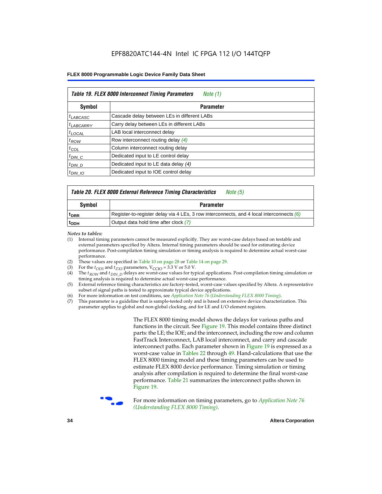| Table 19. FLEX 8000 Interconnect Timing Parameters<br>Note (1) |                                             |  |  |  |  |
|----------------------------------------------------------------|---------------------------------------------|--|--|--|--|
| Symbol                                                         | <b>Parameter</b>                            |  |  |  |  |
| <sup>t</sup> LABCASC                                           | Cascade delay between LEs in different LABs |  |  |  |  |
| $t_{LABCARRY}$                                                 | Carry delay between LEs in different LABs   |  |  |  |  |
| $t_{\text{LOCAL}}$                                             | LAB local interconnect delay                |  |  |  |  |
| $t_{ROW}$                                                      | Row interconnect routing delay (4)          |  |  |  |  |
| $t_{COL}$                                                      | Column interconnect routing delay           |  |  |  |  |
| $t_{DIN}$ $C$                                                  | Dedicated input to LE control delay         |  |  |  |  |
| $t_{DIN}$ D                                                    | Dedicated input to LE data delay (4)        |  |  |  |  |
| $t_{DIN}$ 10                                                   | Dedicated input to IOE control delay        |  |  |  |  |

#### *Table 20. FLEX 8000 External Reference Timing Characteristics Note (5)*

| Symbol           | <b>Parameter</b>                                                                           |
|------------------|--------------------------------------------------------------------------------------------|
| <sup>T</sup> DRR | Register-to-register delay via 4 LEs, 3 row interconnects, and 4 local interconnects $(6)$ |
| <sup>T</sup> ODH | Output data hold time after clock (7)                                                      |

*Notes to tables:*

- (1) Internal timing parameters cannot be measured explicitly. They are worst-case delays based on testable and external parameters specified by Altera. Internal timing parameters should be used for estimating device performance. Post-compilation timing simulation or timing analysis is required to determine actual worst-case performance.
- (2) These values are specified in Table 10 on page 28 or Table 14 on page 29.<br>(3) For the  $t_{OD3}$  and  $t_{ZX3}$  parameters,  $V_{CCIO} = 3.3$  V or 5.0 V.
- (3) For the  $t_{OD3}$  and  $t_{ZX3}$  parameters,  $V_{CCIO} = 3.3$  V or 5.0 V.<br>(4) The  $t_{ROM}$  and  $t_{DIN}$   $_D$  delays are worst-case values for type
- The *t<sub>ROW</sub>* and *t<sub>DIN\_D</sub>* delays are worst-case values for typical applications. Post-compilation timing simulation or timing analysis is required to determine actual worst-case performance.
- (5) External reference timing characteristics are factory-tested, worst-case values specified by Altera. A representative subset of signal paths is tested to approximate typical device applications.
- (6) For more information on test conditions, see *Application Note 76* (*Understanding FLEX 8000 Timing*).
- (7) This parameter is a guideline that is sample-tested only and is based on extensive device characterization. This parameter applies to global and non-global clocking, and for LE and I/O element registers.

The FLEX 8000 timing model shows the delays for various paths and functions in the circuit. See Figure 19. This model contains three distinct parts: the LE; the IOE; and the interconnect, including the row and column FastTrack Interconnect, LAB local interconnect, and carry and cascade interconnect paths. Each parameter shown in Figure 19 is expressed as a worst-case value in Tables 22 through 49. Hand-calculations that use the FLEX 8000 timing model and these timing parameters can be used to estimate FLEX 8000 device performance. Timing simulation or timing analysis after compilation is required to determine the final worst-case performance. Table 21 summarizes the interconnect paths shown in Figure 19.



f For more information on timing parameters, go to *Application Note 76 (Understanding FLEX 8000 Timing)*.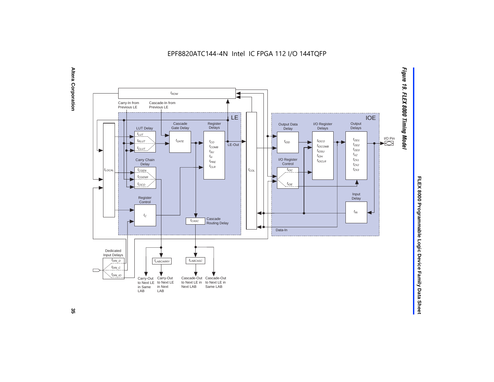EPF8820ATC144-4N Intel IC FPGA 112 I/O 144TQFP





FLEX 8000 Programmable Logic Device Family Data Sheet **FLEX 8000 Programmable Logic Device Family Data Sheet**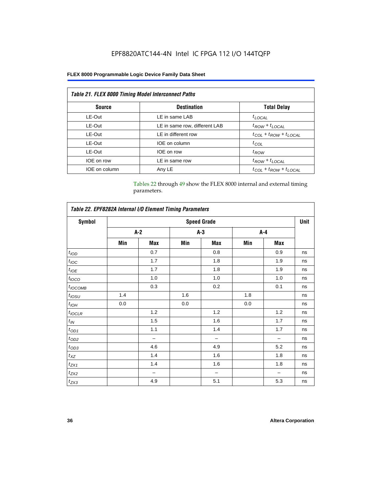### EPF8820ATC144-4N Intel IC FPGA 112 I/O 144TQFP

#### **FLEX 8000 Programmable Logic Device Family Data Sheet**

| <b>Table 21. FLEX 8000 Timing Model Interconnect Paths</b> |                               |                                 |  |  |  |  |
|------------------------------------------------------------|-------------------------------|---------------------------------|--|--|--|--|
| <b>Source</b>                                              | <b>Destination</b>            | <b>Total Delay</b>              |  |  |  |  |
| LE-Out                                                     | LE in same LAB                | $t_{LOCAL}$                     |  |  |  |  |
| LE-Out                                                     | LE in same row, different LAB | $t_{ROW} + t_{LOCAL}$           |  |  |  |  |
| LE-Out                                                     | LE in different row           | $t_{COL} + t_{ROW} + t_{LOCAL}$ |  |  |  |  |
| LE-Out                                                     | IOE on column                 | $t_{COL}$                       |  |  |  |  |
| LE-Out                                                     | IOE on row                    | $t_{ROW}$                       |  |  |  |  |
| IOE on row                                                 | LE in same row                | $t_{ROW} + t_{LOCAL}$           |  |  |  |  |
| IOE on column                                              | Any LE                        | $t_{COL} + t_{ROW} + t_{LOCAL}$ |  |  |  |  |

Tables 22 through 49 show the FLEX 8000 internal and external timing parameters.

| Table 22. EPF8282A Internal I/O Element Timing Parameters |                    |                          |     |       |         |     |    |  |  |
|-----------------------------------------------------------|--------------------|--------------------------|-----|-------|---------|-----|----|--|--|
| <b>Symbol</b>                                             | <b>Speed Grade</b> |                          |     |       |         |     |    |  |  |
|                                                           |                    | $A-2$                    |     | $A-3$ | $A - 4$ |     |    |  |  |
|                                                           | Min                | Max                      | Min | Max   | Min     | Max |    |  |  |
| t <sub>IOD</sub>                                          |                    | 0.7                      |     | 0.8   |         | 0.9 | ns |  |  |
| $t_{\text{IOC}}$                                          |                    | 1.7                      |     | 1.8   |         | 1.9 | ns |  |  |
| $t_{IOE}$                                                 |                    | 1.7                      |     | 1.8   |         | 1.9 | ns |  |  |
| $t_{IOCO}$                                                |                    | 1.0                      |     | 1.0   |         | 1.0 | ns |  |  |
| $t_{IOCOMB}$                                              |                    | 0.3                      |     | 0.2   |         | 0.1 | ns |  |  |
| $t_{IOSU}$                                                | 1.4                |                          | 1.6 |       | 1.8     |     | ns |  |  |
| $t_{IOH}$                                                 | 0.0                |                          | 0.0 |       | 0.0     |     | ns |  |  |
| $t_{IOCLR}$                                               |                    | 1.2                      |     | 1.2   |         | 1.2 | ns |  |  |
| $t_{I\!N}$                                                |                    | 1.5                      |     | 1.6   |         | 1.7 | ns |  |  |
| $t_{OD1}$                                                 |                    | 1.1                      |     | 1.4   |         | 1.7 | ns |  |  |
| $t_{OD2}$                                                 |                    | $\overline{\phantom{0}}$ |     | -     |         |     | ns |  |  |
| $t_{0D3}$                                                 |                    | 4.6                      |     | 4.9   |         | 5.2 | ns |  |  |
| $t_{XZ}$                                                  |                    | 1.4                      |     | 1.6   |         | 1.8 | ns |  |  |
| $t_{ZX1}$                                                 |                    | 1.4                      |     | 1.6   |         | 1.8 | ns |  |  |
| $t_{ZX2}$                                                 |                    | -                        |     | -     |         |     | ns |  |  |
| $t_{ZX3}$                                                 |                    | 4.9                      |     | 5.1   |         | 5.3 | ns |  |  |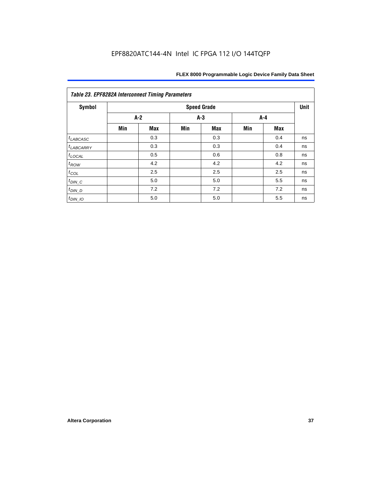| <b>Table 23. EPF8282A Interconnect Timing Parameters</b> |       |            |     |            |     |     |      |  |  |
|----------------------------------------------------------|-------|------------|-----|------------|-----|-----|------|--|--|
| <b>Symbol</b><br><b>Speed Grade</b>                      |       |            |     |            |     |     | Unit |  |  |
|                                                          | $A-2$ |            |     | $A-3$      |     | A-4 |      |  |  |
|                                                          | Min   | <b>Max</b> | Min | <b>Max</b> | Min | Max |      |  |  |
| $t_{LABCASC}$                                            |       | 0.3        |     | 0.3        |     | 0.4 | ns   |  |  |
| $t_{LABCARY}$                                            |       | 0.3        |     | 0.3        |     | 0.4 | ns   |  |  |
| $t_{\text{LOCAL}}$                                       |       | 0.5        |     | 0.6        |     | 0.8 | ns   |  |  |
| $t_{ROW}$                                                |       | 4.2        |     | 4.2        |     | 4.2 | ns   |  |  |
| $t_{COL}$                                                |       | 2.5        |     | 2.5        |     | 2.5 | ns   |  |  |
| $t_{DIN\_C}$                                             |       | 5.0        |     | 5.0        |     | 5.5 | ns   |  |  |
| $t_{DIN\_D}$                                             |       | 7.2        |     | 7.2        |     | 7.2 | ns   |  |  |
| $t_{DIN\_IO}$                                            |       | 5.0        |     | 5.0        |     | 5.5 | ns   |  |  |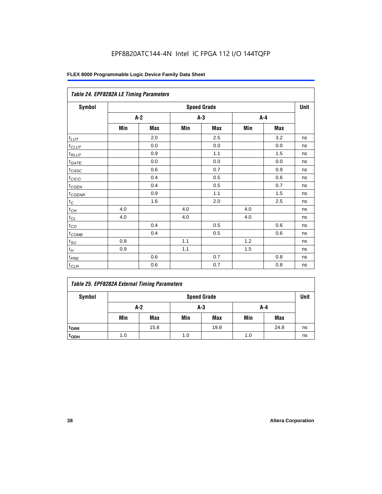### EPF8820ATC144-4N Intel IC FPGA 112 I/O 144TQFP

| Table 24. EPF8282A LE Timing Parameters |     |       |     |                    |     |     |             |  |  |
|-----------------------------------------|-----|-------|-----|--------------------|-----|-----|-------------|--|--|
| Symbol                                  |     |       |     | <b>Speed Grade</b> |     |     | <b>Unit</b> |  |  |
|                                         |     | $A-2$ |     | $A-3$              |     | A-4 |             |  |  |
|                                         | Min | Max   | Min | Max                | Min | Max |             |  |  |
| $t_{LUT}$                               |     | 2.0   |     | 2.5                |     | 3.2 | ns          |  |  |
| $t$ CLUT                                |     | 0.0   |     | 0.0                |     | 0.0 | ns          |  |  |
| $t_{RLUT}$                              |     | 0.9   |     | 1.1                |     | 1.5 | ns          |  |  |
| $t_{GATE}$                              |     | 0.0   |     | 0.0                |     | 0.0 | ns          |  |  |
| $t_{CASC}$                              |     | 0.6   |     | 0.7                |     | 0.9 | ns          |  |  |
| $t_{CICO}$                              |     | 0.4   |     | 0.5                |     | 0.6 | ns          |  |  |
| $t_{CGEN}$                              |     | 0.4   |     | 0.5                |     | 0.7 | ns          |  |  |
| $t_{CGENR}$                             |     | 0.9   |     | 1.1                |     | 1.5 | ns          |  |  |
| $t_C$                                   |     | 1.6   |     | 2.0                |     | 2.5 | ns          |  |  |
| $t_{CH}$                                | 4.0 |       | 4.0 |                    | 4.0 |     | ns          |  |  |
| $t_{CL}$                                | 4.0 |       | 4.0 |                    | 4.0 |     | ns          |  |  |
| $t_{\rm CO}$                            |     | 0.4   |     | 0.5                |     | 0.6 | ns          |  |  |
| $t_{\text{COMB}}$                       |     | 0.4   |     | 0.5                |     | 0.6 | ns          |  |  |
| $t_{\text{SU}}$                         | 0.8 |       | 1.1 |                    | 1.2 |     | ns          |  |  |
| $t_H\,$                                 | 0.9 |       | 1.1 |                    | 1.5 |     | ns          |  |  |
| $t_{PRE}$                               |     | 0.6   |     | 0.7                |     | 0.8 | ns          |  |  |
| $t_{CLR}$                               |     | 0.6   |     | 0.7                |     | 0.8 | ns          |  |  |

|  |  | Table 25. EPF8282A External Timing Parameters |
|--|--|-----------------------------------------------|
|  |  |                                               |

| Symbol           |     | <b>Speed Grade</b> |     |      |     |            |    |  |  |
|------------------|-----|--------------------|-----|------|-----|------------|----|--|--|
|                  |     | A-2<br>A-3         |     |      | A-4 |            |    |  |  |
|                  | Min | Max                | Min | Max  | Min | <b>Max</b> |    |  |  |
| t <sub>DRR</sub> |     | 15.8               |     | 19.8 |     | 24.8       | ns |  |  |
| t <sub>ODH</sub> | 1.0 |                    | 1.0 |      | 1.0 |            | ns |  |  |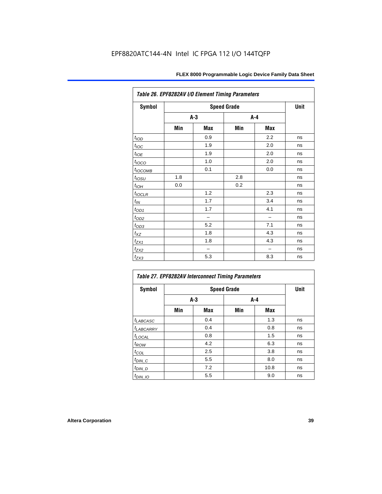| Table 26. EPF8282AV I/O Element Timing Parameters |       |     |                    |     |             |  |  |  |
|---------------------------------------------------|-------|-----|--------------------|-----|-------------|--|--|--|
| <b>Symbol</b>                                     |       |     | <b>Speed Grade</b> |     | <b>Unit</b> |  |  |  |
|                                                   | $A-3$ |     | A-4                |     |             |  |  |  |
|                                                   | Min   | Max | Min                | Max |             |  |  |  |
| t <sub>IOD</sub>                                  |       | 0.9 |                    | 2.2 | ns          |  |  |  |
| $t_{\text{IOC}}$                                  |       | 1.9 |                    | 2.0 | ns          |  |  |  |
| $t_{IOE}$                                         |       | 1.9 |                    | 2.0 | ns          |  |  |  |
| $t_{IOCO}$                                        |       | 1.0 |                    | 2.0 | ns          |  |  |  |
| t <sub>IOCOMB</sub>                               |       | 0.1 |                    | 0.0 | ns          |  |  |  |
| $t_{IOSU}$                                        | 1.8   |     | 2.8                |     | ns          |  |  |  |
| $t_{IOH}$                                         | 0.0   |     | 0.2                |     | ns          |  |  |  |
| $t_{IOCLR}$                                       |       | 1.2 |                    | 2.3 | ns          |  |  |  |
| $t_{\mathit{IN}}$                                 |       | 1.7 |                    | 3.4 | ns          |  |  |  |
| $t_{OD1}$                                         |       | 1.7 |                    | 4.1 | ns          |  |  |  |
| $t_{OD2}$                                         |       |     |                    |     | ns          |  |  |  |
| $t_{OD3}$                                         |       | 5.2 |                    | 7.1 | ns          |  |  |  |
| $t_{\text{XZ}}$                                   |       | 1.8 |                    | 4.3 | ns          |  |  |  |
| $t_{ZX1}$                                         |       | 1.8 |                    | 4.3 | ns          |  |  |  |
| $t_{ZX2}$                                         |       |     |                    |     | ns          |  |  |  |
| $t_{ZX3}$                                         |       | 5.3 |                    | 8.3 | ns          |  |  |  |

| Table 27. EPF8282AV Interconnect Timing Parameters |     |       |       |      |    |  |  |  |  |
|----------------------------------------------------|-----|-------|-------|------|----|--|--|--|--|
| <b>Symbol</b>                                      |     | Unit  |       |      |    |  |  |  |  |
|                                                    |     | $A-3$ | $A-4$ |      |    |  |  |  |  |
|                                                    | Min | Max   | Min   | Max  |    |  |  |  |  |
| $t_{LABCASC}$                                      |     | 0.4   |       | 1.3  | ns |  |  |  |  |
| t <sub>LABCARRY</sub>                              |     | 0.4   |       | 0.8  | ns |  |  |  |  |
| $t_{\text{LOCAL}}$                                 |     | 0.8   |       | 1.5  | ns |  |  |  |  |
| $t_{ROW}$                                          |     | 4.2   |       | 6.3  | ns |  |  |  |  |
| $t_{COL}$                                          |     | 2.5   |       | 3.8  | ns |  |  |  |  |
| $t_{DI\underline{N}C}$                             |     | 5.5   |       | 8.0  | ns |  |  |  |  |
| $t_{DIN\_D}$                                       |     | 7.2   |       | 10.8 | ns |  |  |  |  |
| $t_{DIN\_IO}$                                      |     | 5.5   |       | 9.0  | ns |  |  |  |  |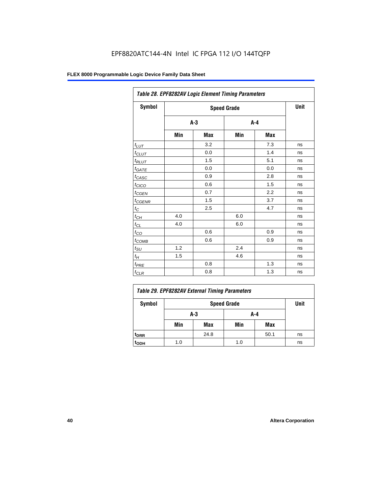| Table 28. EPF8282AV Logic Element Timing Parameters |       |      |     |         |    |  |  |  |
|-----------------------------------------------------|-------|------|-----|---------|----|--|--|--|
| Symbol                                              |       | Unit |     |         |    |  |  |  |
|                                                     | $A-3$ |      |     | $A - 4$ |    |  |  |  |
|                                                     | Min   | Max  | Min | Max     |    |  |  |  |
| $t_{LUT}$                                           |       | 3.2  |     | 7.3     | ns |  |  |  |
| $t_{CLUT}$                                          |       | 0.0  |     | 1.4     | ns |  |  |  |
| $t_{RLUT}$                                          |       | 1.5  |     | 5.1     | ns |  |  |  |
| $t_{GATE}$                                          |       | 0.0  |     | 0.0     | ns |  |  |  |
| $t_{CASC}$                                          |       | 0.9  |     | 2.8     | ns |  |  |  |
| $t_{CICO}$                                          |       | 0.6  |     | 1.5     | ns |  |  |  |
| $t_{\text{GEN}}$                                    |       | 0.7  |     | 2.2     | ns |  |  |  |
| $t_{\text{GENR}}$                                   |       | 1.5  |     | 3.7     | ns |  |  |  |
| $t_C$                                               |       | 2.5  |     | 4.7     | ns |  |  |  |
| $t_{CH}$                                            | 4.0   |      | 6.0 |         | ns |  |  |  |
| $t_{CL}$                                            | 4.0   |      | 6.0 |         | ns |  |  |  |
| $t_{CO}$                                            |       | 0.6  |     | 0.9     | ns |  |  |  |
| $t_{COMB}$                                          |       | 0.6  |     | 0.9     | ns |  |  |  |
| $t_{\text{SU}}$                                     | 1.2   |      | 2.4 |         | ns |  |  |  |
| $t_H$                                               | 1.5   |      | 4.6 |         | ns |  |  |  |
| $t_{PRE}$                                           |       | 0.8  |     | 1.3     | ns |  |  |  |
| $t_{CLR}$                                           |       | 0.8  |     | 1.3     | ns |  |  |  |

| Table 29. EPF8282AV External Timing Parameters |      |            |     |      |    |  |  |  |
|------------------------------------------------|------|------------|-----|------|----|--|--|--|
| Symbol                                         | Unit |            |     |      |    |  |  |  |
|                                                |      | A-4<br>A-3 |     |      |    |  |  |  |
|                                                | Min  | Max        | Min | Max  |    |  |  |  |
| <sup>t</sup> DRR                               |      | 24.8       |     | 50.1 | ns |  |  |  |
| t <sub>орн</sub>                               | 1.0  |            | 1.0 |      | ns |  |  |  |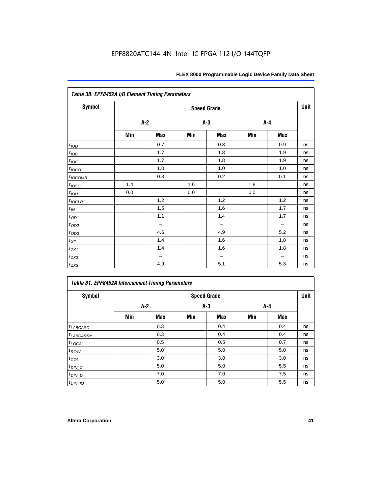| Table 30. EPF8452A I/O Element Timing Parameters |       |                          |       |                          |     |                          |    |  |  |  |
|--------------------------------------------------|-------|--------------------------|-------|--------------------------|-----|--------------------------|----|--|--|--|
| <b>Symbol</b>                                    |       | <b>Speed Grade</b>       |       |                          |     |                          |    |  |  |  |
|                                                  | $A-2$ |                          | $A-3$ |                          |     | $A-4$                    |    |  |  |  |
|                                                  | Min   | Max                      | Min   | Max                      | Min | Max                      |    |  |  |  |
| t <sub>IOD</sub>                                 |       | 0.7                      |       | 0.8                      |     | 0.9                      | ns |  |  |  |
| $t_{\text{IOC}}$                                 |       | 1.7                      |       | 1.8                      |     | 1.9                      | ns |  |  |  |
| $t_{IOE}$                                        |       | 1.7                      |       | 1.8                      |     | 1.9                      | ns |  |  |  |
| $t_{IOCO}$                                       |       | 1.0                      |       | 1.0                      |     | 1.0                      | ns |  |  |  |
| $t_{IOCOMB}$                                     |       | 0.3                      |       | 0.2                      |     | 0.1                      | ns |  |  |  |
| $t_{IOSU}$                                       | 1.4   |                          | 1.6   |                          | 1.8 |                          | ns |  |  |  |
| $t_{IOH}$                                        | 0.0   |                          | 0.0   |                          | 0.0 |                          | ns |  |  |  |
| $t_{IOCLR}$                                      |       | 1.2                      |       | 1.2                      |     | 1.2                      | ns |  |  |  |
| $t_{I\!N}$                                       |       | 1.5                      |       | 1.6                      |     | 1.7                      | ns |  |  |  |
| $t_{OD1}$                                        |       | 1.1                      |       | 1.4                      |     | 1.7                      | ns |  |  |  |
| $t_{OD2}$                                        |       | $\overline{\phantom{0}}$ |       | $\overline{\phantom{0}}$ |     | $\overline{\phantom{0}}$ | ns |  |  |  |
| $t_{OD3}$                                        |       | 4.6                      |       | 4.9                      |     | 5.2                      | ns |  |  |  |
| $t_{XZ}$                                         |       | 1.4                      |       | 1.6                      |     | 1.8                      | ns |  |  |  |
| $t_{ZX1}$                                        |       | 1.4                      |       | 1.6                      |     | 1.8                      | ns |  |  |  |
| $t_{ZX2}$                                        |       | $\qquad \qquad -$        |       | $\overline{\phantom{0}}$ |     | $\overline{\phantom{0}}$ | ns |  |  |  |
| $t_{ZX3}$                                        |       | 4.9                      |       | 5.1                      |     | 5.3                      | ns |  |  |  |

#### *Table 31. EPF8452A Interconnect Timing Parameters*

| Symbol             |       | <b>Speed Grade</b> |       |     |     |       |    |  |  |  |
|--------------------|-------|--------------------|-------|-----|-----|-------|----|--|--|--|
|                    | $A-2$ |                    | $A-3$ |     |     | $A-4$ |    |  |  |  |
|                    | Min   | Max                | Min   | Max | Min | Max   |    |  |  |  |
| $t_{LABCASC}$      |       | 0.3                |       | 0.4 |     | 0.4   | ns |  |  |  |
| $t_{LABCARRY}$     |       | 0.3                |       | 0.4 |     | 0.4   | ns |  |  |  |
| $t_{\text{LOCAL}}$ |       | 0.5                |       | 0.5 |     | 0.7   | ns |  |  |  |
| $t_{\mathit{ROW}}$ |       | 5.0                |       | 5.0 |     | 5.0   | ns |  |  |  |
| $t_{COL}$          |       | 3.0                |       | 3.0 |     | 3.0   | ns |  |  |  |
| $t_{DIN\_C}$       |       | 5.0                |       | 5.0 |     | 5.5   | ns |  |  |  |
| $t_{DIN\_D}$       |       | 7.0                |       | 7.0 |     | 7.5   | ns |  |  |  |
| $t_{DIN}$ 10       |       | 5.0                |       | 5.0 |     | 5.5   | ns |  |  |  |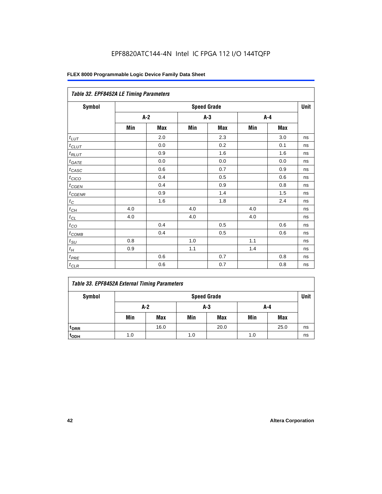#### EPF8820ATC144-4N Intel IC FPGA 112 I/O 144TQFP

#### **FLEX 8000 Programmable Logic Device Family Data Sheet**

| Table 32. EPF8452A LE Timing Parameters |       |            |                    |            |     |            |             |  |
|-----------------------------------------|-------|------------|--------------------|------------|-----|------------|-------------|--|
| <b>Symbol</b>                           |       |            | <b>Speed Grade</b> |            |     |            | <b>Unit</b> |  |
|                                         | $A-2$ |            |                    | $A-3$      |     | $A - 4$    |             |  |
|                                         | Min   | <b>Max</b> | Min                | <b>Max</b> | Min | <b>Max</b> |             |  |
| $t_{LUT}$                               |       | 2.0        |                    | 2.3        |     | 3.0        | ns          |  |
| $t_{CLUT}$                              |       | 0.0        |                    | 0.2        |     | 0.1        | ns          |  |
| $t_{RLUT}$                              |       | 0.9        |                    | 1.6        |     | 1.6        | ns          |  |
| $t_{GATE}$                              |       | 0.0        |                    | 0.0        |     | 0.0        | ns          |  |
| $t_{CASC}$                              |       | 0.6        |                    | 0.7        |     | 0.9        | ns          |  |
| $t_{CICO}$                              |       | 0.4        |                    | 0.5        |     | 0.6        | ns          |  |
| $t_{GEN}$                               |       | 0.4        |                    | 0.9        |     | 0.8        | ns          |  |
| $t_{CGENR}$                             |       | 0.9        |                    | 1.4        |     | 1.5        | ns          |  |
| $t_C$                                   |       | 1.6        |                    | 1.8        |     | 2.4        | ns          |  |
| $t_{CH}$                                | 4.0   |            | 4.0                |            | 4.0 |            | ns          |  |
| $t_{CL}$                                | 4.0   |            | 4.0                |            | 4.0 |            | ns          |  |
| $t_{CO}$                                |       | 0.4        |                    | 0.5        |     | 0.6        | ns          |  |
| $t$ <sub>COMB</sub>                     |       | 0.4        |                    | 0.5        |     | 0.6        | ns          |  |
| $t_{\rm SU}$                            | 0.8   |            | 1.0                |            | 1.1 |            | ns          |  |
| $t_H$                                   | 0.9   |            | 1.1                |            | 1.4 |            | ns          |  |
| $t_{PRE}$                               |       | 0.6        |                    | 0.7        |     | 0.8        | ns          |  |
| $t_{CLR}$                               |       | 0.6        |                    | 0.7        |     | 0.8        | ns          |  |

#### *Table 33. EPF8452A External Timing Parameters*

| Symbol                      |     | <b>Speed Grade</b>  |     |            |     |            |    |  |  |  |
|-----------------------------|-----|---------------------|-----|------------|-----|------------|----|--|--|--|
|                             |     | A-2<br>$A-3$<br>A-4 |     |            |     |            |    |  |  |  |
|                             | Min | Max                 | Min | <b>Max</b> | Min | <b>Max</b> |    |  |  |  |
| <sup>t</sup> <sub>DRR</sub> |     | 16.0                |     | 20.0       |     | 25.0       | ns |  |  |  |
| t <sub>ODH</sub>            | 1.0 |                     | 1.0 |            | 1.0 |            | ns |  |  |  |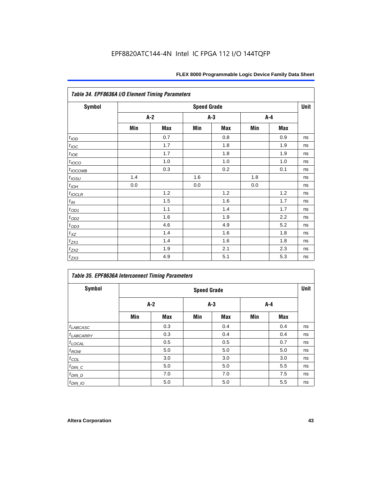| <b>Symbol</b>         |     |       | <b>Speed Grade</b> |     |     |     | Unit |
|-----------------------|-----|-------|--------------------|-----|-----|-----|------|
|                       |     | $A-2$ | $A-3$              |     | A-4 |     |      |
|                       | Min | Max   | Min                | Max | Min | Max |      |
| t <sub>IOD</sub>      |     | 0.7   |                    | 0.8 |     | 0.9 | ns   |
| $t_{\text{IOC}}$      |     | 1.7   |                    | 1.8 |     | 1.9 | ns   |
| $t_{IOE}$             |     | 1.7   |                    | 1.8 |     | 1.9 | ns   |
| $t_{IOCO}$            |     | 1.0   |                    | 1.0 |     | 1.0 | ns   |
| $t_{IOCOMB}$          |     | 0.3   |                    | 0.2 |     | 0.1 | ns   |
| $t_{IOSU}$            | 1.4 |       | 1.6                |     | 1.8 |     | ns   |
| $t_{IOH}$             | 0.0 |       | 0.0                |     | 0.0 |     | ns   |
| $t_{IOCLR}$           |     | 1.2   |                    | 1.2 |     | 1.2 | ns   |
| $t_{I\!N}$            |     | 1.5   |                    | 1.6 |     | 1.7 | ns   |
| $t_{OD1}$             |     | 1.1   |                    | 1.4 |     | 1.7 | ns   |
| $t_{\underline{OD2}}$ |     | 1.6   |                    | 1.9 |     | 2.2 | ns   |
| $t_{OD3}$             |     | 4.6   |                    | 4.9 |     | 5.2 | ns   |
| $t_{XZ}$              |     | 1.4   |                    | 1.6 |     | 1.8 | ns   |
| $t_{ZX1}$             |     | 1.4   |                    | 1.6 |     | 1.8 | ns   |
| $t_{ZX2}$             |     | 1.9   |                    | 2.1 |     | 2.3 | ns   |
| $t_{ZX3}$             |     | 4.9   |                    | 5.1 |     | 5.3 | ns   |

|                       | <b>Table 35. EPF8636A Interconnect Timing Parameters</b> |                    |       |            |     |     |    |  |  |  |  |  |
|-----------------------|----------------------------------------------------------|--------------------|-------|------------|-----|-----|----|--|--|--|--|--|
| <b>Symbol</b>         |                                                          | <b>Speed Grade</b> |       |            |     |     |    |  |  |  |  |  |
|                       | A-2                                                      |                    | $A-3$ |            | A-4 |     |    |  |  |  |  |  |
|                       | Min                                                      | <b>Max</b>         | Min   | <b>Max</b> | Min | Max |    |  |  |  |  |  |
| $t_{LABCASC}$         |                                                          | 0.3                |       | 0.4        |     | 0.4 | ns |  |  |  |  |  |
| <sup>t</sup> LABCARRY |                                                          | 0.3                |       | 0.4        |     | 0.4 | ns |  |  |  |  |  |
| $t_{\text{LOCAL}}$    |                                                          | 0.5                |       | 0.5        |     | 0.7 | ns |  |  |  |  |  |
| $t_{ROW}$             |                                                          | 5.0                |       | 5.0        |     | 5.0 | ns |  |  |  |  |  |
| $t_{COL}$             |                                                          | 3.0                |       | 3.0        |     | 3.0 | ns |  |  |  |  |  |
| $t_{DIN\_C}$          |                                                          | 5.0                |       | 5.0        |     | 5.5 | ns |  |  |  |  |  |
| $t_{DIN\_D}$          |                                                          | 7.0                |       | 7.0        |     | 7.5 | ns |  |  |  |  |  |
| $t_{DIN_1O}$          |                                                          | 5.0                |       | 5.0        |     | 5.5 | ns |  |  |  |  |  |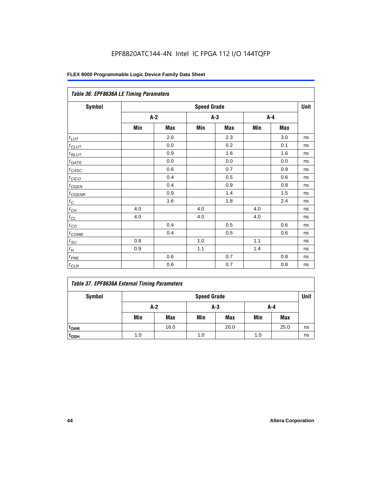|                   | Table 36. EPF8636A LE Timing Parameters |       |                    |            |       |            |      |  |  |  |  |  |
|-------------------|-----------------------------------------|-------|--------------------|------------|-------|------------|------|--|--|--|--|--|
| Symbol            |                                         |       | <b>Speed Grade</b> |            |       |            | Unit |  |  |  |  |  |
|                   |                                         | $A-2$ | $A-3$              |            | $A-4$ |            |      |  |  |  |  |  |
|                   | Min                                     | Max   | Min                | <b>Max</b> | Min   | <b>Max</b> |      |  |  |  |  |  |
| $t_{LUT}$         |                                         | 2.0   |                    | 2.3        |       | 3.0        | ns   |  |  |  |  |  |
| $t_{CLUT}$        |                                         | 0.0   |                    | 0.2        |       | 0.1        | ns   |  |  |  |  |  |
| $t_{RLUT}$        |                                         | 0.9   |                    | 1.6        |       | 1.6        | ns   |  |  |  |  |  |
| $t_{GATE}$        |                                         | 0.0   |                    | 0.0        |       | 0.0        | ns   |  |  |  |  |  |
| $t_{CASC}$        |                                         | 0.6   |                    | 0.7        |       | 0.9        | ns   |  |  |  |  |  |
| t <sub>CICO</sub> |                                         | 0.4   |                    | 0.5        |       | 0.6        | ns   |  |  |  |  |  |
| $t_{GEN}$         |                                         | 0.4   |                    | 0.9        |       | 0.8        | ns   |  |  |  |  |  |
| $t_{CGENR}$       |                                         | 0.9   |                    | 1.4        |       | 1.5        | ns   |  |  |  |  |  |
| $t_C$             |                                         | 1.6   |                    | 1.8        |       | 2.4        | ns   |  |  |  |  |  |
| $t_{CH}$          | 4.0                                     |       | 4.0                |            | 4.0   |            | ns   |  |  |  |  |  |
| $t_{CL}$          | 4.0                                     |       | 4.0                |            | 4.0   |            | ns   |  |  |  |  |  |
| $t_{CO}$          |                                         | 0.4   |                    | 0.5        |       | 0.6        | ns   |  |  |  |  |  |
| $t_{COMB}$        |                                         | 0.4   |                    | 0.5        |       | 0.6        | ns   |  |  |  |  |  |
| $t_{SU}$          | 0.8                                     |       | 1.0                |            | 1.1   |            | ns   |  |  |  |  |  |
| $t_H$             | 0.9                                     |       | 1.1                |            | 1.4   |            | ns   |  |  |  |  |  |
| $t_{PRE}$         |                                         | 0.6   |                    | 0.7        |       | 0.8        | ns   |  |  |  |  |  |
| $t_{CLR}$         |                                         | 0.6   |                    | 0.7        |       | 0.8        | ns   |  |  |  |  |  |

#### *Table 37. EPF8636A External Timing Parameters*

| Symbol           |     | <b>Speed Grade</b>  |     |            |     |      |    |  |  |  |
|------------------|-----|---------------------|-----|------------|-----|------|----|--|--|--|
|                  |     | $A-2$<br>A-3<br>A-4 |     |            |     |      |    |  |  |  |
|                  | Min | <b>Max</b>          | Min | <b>Max</b> | Min | Max  |    |  |  |  |
| t <sub>DRR</sub> |     | 16.0                |     | 20.0       |     | 25.0 | ns |  |  |  |
| t <sub>ODH</sub> | 1.0 |                     | 1.0 |            | 1.0 |      | ns |  |  |  |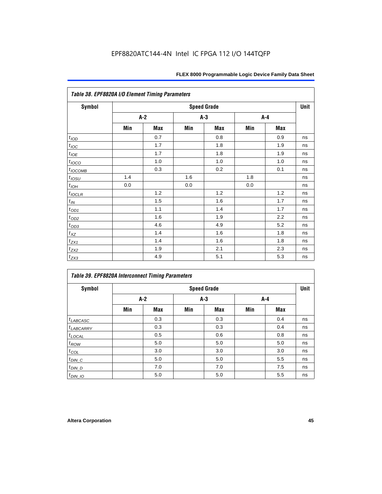|                                 | Table 38. EPF8820A I/O Element Timing Parameters |     |     |                    |     |            |      |  |  |  |  |  |
|---------------------------------|--------------------------------------------------|-----|-----|--------------------|-----|------------|------|--|--|--|--|--|
| <b>Symbol</b>                   |                                                  |     |     | <b>Speed Grade</b> |     |            | Unit |  |  |  |  |  |
|                                 |                                                  | A-2 | A-3 |                    | A-4 |            |      |  |  |  |  |  |
|                                 | Min                                              | Max | Min | <b>Max</b>         | Min | <b>Max</b> |      |  |  |  |  |  |
| $t_{\textit{\scriptsize{IOD}}}$ |                                                  | 0.7 |     | 0.8                |     | 0.9        | ns   |  |  |  |  |  |
| $t_{\text{loc}}$                |                                                  | 1.7 |     | 1.8                |     | 1.9        | ns   |  |  |  |  |  |
| $t_{IOE}$                       |                                                  | 1.7 |     | 1.8                |     | 1.9        | ns   |  |  |  |  |  |
| $t_{IOCO}$                      |                                                  | 1.0 |     | 1.0                |     | 1.0        | ns   |  |  |  |  |  |
| $t_{IOCOMB}$                    |                                                  | 0.3 |     | 0.2                |     | 0.1        | ns   |  |  |  |  |  |
| $t_{IOSU}$                      | 1.4                                              |     | 1.6 |                    | 1.8 |            | ns   |  |  |  |  |  |
| $t_{IOH}$                       | 0.0                                              |     | 0.0 |                    | 0.0 |            | ns   |  |  |  |  |  |
| $t_{IOCLR}$                     |                                                  | 1.2 |     | 1.2                |     | 1.2        | ns   |  |  |  |  |  |
| $t_{I\!N}$                      |                                                  | 1.5 |     | 1.6                |     | 1.7        | ns   |  |  |  |  |  |
| $t_{OD1}$                       |                                                  | 1.1 |     | 1.4                |     | 1.7        | ns   |  |  |  |  |  |
| $t_{\text{OD2}}$                |                                                  | 1.6 |     | 1.9                |     | 2.2        | ns   |  |  |  |  |  |
| $t_{OD3}$                       |                                                  | 4.6 |     | 4.9                |     | 5.2        | ns   |  |  |  |  |  |
| $t_{\text{XZ}}$                 |                                                  | 1.4 |     | 1.6                |     | 1.8        | ns   |  |  |  |  |  |
| $t_{ZX1}$                       |                                                  | 1.4 |     | 1.6                |     | 1.8        | ns   |  |  |  |  |  |
| $t_{ZX2}$                       |                                                  | 1.9 |     | 2.1                |     | 2.3        | ns   |  |  |  |  |  |
| $t_{ZX3}$                       |                                                  | 4.9 |     | 5.1                |     | 5.3        | ns   |  |  |  |  |  |

| <b>Table 39. EPF8820A Interconnect Timing Parameters</b> |                    |       |     |       |     |     |    |  |  |
|----------------------------------------------------------|--------------------|-------|-----|-------|-----|-----|----|--|--|
| Symbol                                                   | <b>Speed Grade</b> |       |     |       |     |     |    |  |  |
|                                                          |                    | $A-2$ |     | $A-3$ |     | A-4 |    |  |  |
|                                                          | Min                | Max   | Min | Max   | Min | Max |    |  |  |
| $t_{LABCASC}$                                            |                    | 0.3   |     | 0.3   |     | 0.4 | ns |  |  |
| $t_{LABCARY}$                                            |                    | 0.3   |     | 0.3   |     | 0.4 | ns |  |  |
| $t_{\text{LOCAL}}$                                       |                    | 0.5   |     | 0.6   |     | 0.8 | ns |  |  |
| $t_{ROW}$                                                |                    | 5.0   |     | 5.0   |     | 5.0 | ns |  |  |
| $t_{COL}$                                                |                    | 3.0   |     | 3.0   |     | 3.0 | ns |  |  |
| $t_{DIN\_C}$                                             |                    | 5.0   |     | 5.0   |     | 5.5 | ns |  |  |
| $t$ <sub>DIN_D</sub>                                     |                    | 7.0   |     | 7.0   |     | 7.5 | ns |  |  |
| $t_{DIN\_IO}$                                            |                    | 5.0   |     | 5.0   |     | 5.5 | ns |  |  |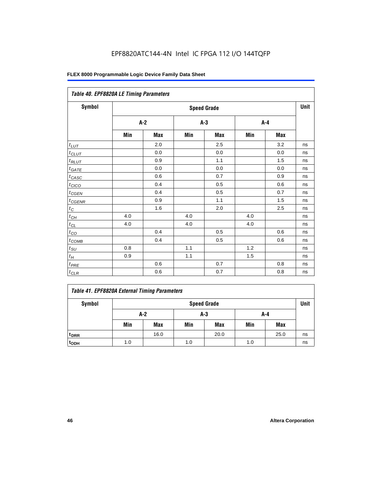| Table 40. EPF8820A LE Timing Parameters |     |       |     |                    |     |       |      |
|-----------------------------------------|-----|-------|-----|--------------------|-----|-------|------|
| Symbol                                  |     |       |     | <b>Speed Grade</b> |     |       | Unit |
|                                         |     | $A-2$ |     | $A-3$              |     | $A-4$ |      |
|                                         | Min | Max   | Min | Max                | Min | Max   |      |
| $t_{\underline{LUT}}$                   |     | 2.0   |     | 2.5                |     | 3.2   | ns   |
| $t_{CLUT}$                              |     | 0.0   |     | 0.0                |     | 0.0   | ns   |
| $t_{RLUT}$                              |     | 0.9   |     | 1.1                |     | 1.5   | ns   |
| $t_{GATE}$                              |     | 0.0   |     | 0.0                |     | 0.0   | ns   |
| $t_{CASC}$                              |     | 0.6   |     | 0.7                |     | 0.9   | ns   |
| $t_{CICO}$                              |     | 0.4   |     | 0.5                |     | 0.6   | ns   |
| $t_{CGEN}$                              |     | 0.4   |     | 0.5                |     | 0.7   | ns   |
| $t_{CGENR}$                             |     | 0.9   |     | 1.1                |     | 1.5   | ns   |
| $t_C$                                   |     | 1.6   |     | 2.0                |     | 2.5   | ns   |
| $t_{CH}$                                | 4.0 |       | 4.0 |                    | 4.0 |       | ns   |
| $t_{\text{CL}}$                         | 4.0 |       | 4.0 |                    | 4.0 |       | ns   |
| $t_{CO}$                                |     | 0.4   |     | 0.5                |     | 0.6   | ns   |
| $t_{\text{COMB}}$                       |     | 0.4   |     | 0.5                |     | 0.6   | ns   |
| $t_{\rm SU}$                            | 0.8 |       | 1.1 |                    | 1.2 |       | ns   |
| $t_H\,$                                 | 0.9 |       | 1.1 |                    | 1.5 |       | ns   |
| $t_{PRE}$                               |     | 0.6   |     | 0.7                |     | 0.8   | ns   |
| $t_{CLR}$                               |     | 0.6   |     | 0.7                |     | 0.8   | ns   |

### *Table 41. EPF8820A External Timing Parameters* Symbol **Symbol** Speed Grade **Speed Grade Unit A-2 A-3 A-4** Min | Max | Min | Max | Min | Max **tDRR** 16.0 20.0 25.0 ns

**tODH** 1.0 1.0 1.0 ns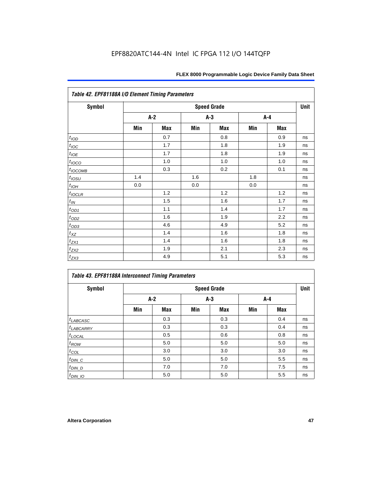| <b>Symbol</b>    |     |     |     | <b>Speed Grade</b> |     |     | Unit |
|------------------|-----|-----|-----|--------------------|-----|-----|------|
|                  |     | A-2 |     | $A-3$              | A-4 |     |      |
|                  | Min | Max | Min | Max                | Min | Max |      |
| t <sub>IOD</sub> |     | 0.7 |     | 0.8                |     | 0.9 | ns   |
| $t_{\text{IOC}}$ |     | 1.7 |     | 1.8                |     | 1.9 | ns   |
| $t_{IOE}$        |     | 1.7 |     | 1.8                |     | 1.9 | ns   |
| $t_{IOCO}$       |     | 1.0 |     | 1.0                |     | 1.0 | ns   |
| $t_{IOCOMB}$     |     | 0.3 |     | 0.2                |     | 0.1 | ns   |
| $t_{IOSU}$       | 1.4 |     | 1.6 |                    | 1.8 |     | ns   |
| $t_{IOH}$        | 0.0 |     | 0.0 |                    | 0.0 |     | ns   |
| $t_{IOCLR}$      |     | 1.2 |     | 1.2                |     | 1.2 | ns   |
| $t_{I\!N}$       |     | 1.5 |     | 1.6                |     | 1.7 | ns   |
| $t_{OD1}$        |     | 1.1 |     | 1.4                |     | 1.7 | ns   |
| $t_{\text{OD2}}$ |     | 1.6 |     | 1.9                |     | 2.2 | ns   |
| $t_{OD3}$        |     | 4.6 |     | 4.9                |     | 5.2 | ns   |
| $t_{X\!Z}$       |     | 1.4 |     | 1.6                |     | 1.8 | ns   |
| $t_{ZX1}$        |     | 1.4 |     | 1.6                |     | 1.8 | ns   |
| $t_{ZX2}$        |     | 1.9 |     | 2.1                |     | 2.3 | ns   |
| $t_{ZX3}$        |     | 4.9 |     | 5.1                |     | 5.3 | ns   |

| Table 43. EPF81188A Interconnect Timing Parameters |                    |     |       |            |     |            |    |  |  |  |  |
|----------------------------------------------------|--------------------|-----|-------|------------|-----|------------|----|--|--|--|--|
| <b>Symbol</b>                                      | <b>Speed Grade</b> |     |       |            |     |            |    |  |  |  |  |
|                                                    | $A-2$              |     | $A-3$ |            |     | A-4        |    |  |  |  |  |
|                                                    | Min                | Max | Min   | <b>Max</b> | Min | <b>Max</b> |    |  |  |  |  |
| $t_{LABCASC}$                                      |                    | 0.3 |       | 0.3        |     | 0.4        | ns |  |  |  |  |
| $t_{LABCARY}$                                      |                    | 0.3 |       | 0.3        |     | 0.4        | ns |  |  |  |  |
| $t_{\text{LOCAL}}$                                 |                    | 0.5 |       | 0.6        |     | 0.8        | ns |  |  |  |  |
| $t_{ROW}$                                          |                    | 5.0 |       | 5.0        |     | 5.0        | ns |  |  |  |  |
| $t_{COL}$                                          |                    | 3.0 |       | 3.0        |     | 3.0        | ns |  |  |  |  |
| $t_{DIN\_C}$                                       |                    | 5.0 |       | 5.0        |     | 5.5        | ns |  |  |  |  |
| $t_{DIN\_D}$                                       |                    | 7.0 |       | 7.0        |     | 7.5        | ns |  |  |  |  |
| $t_{DIN_1O}$                                       |                    | 5.0 |       | 5.0        |     | 5.5        | ns |  |  |  |  |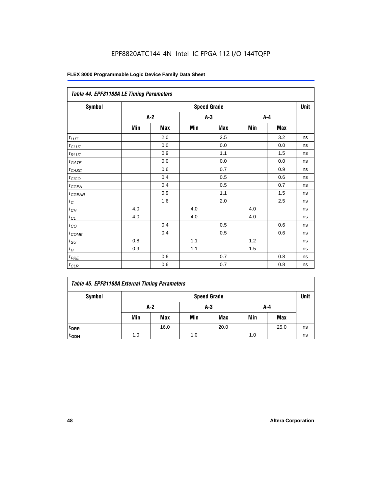| Table 44. EPF81188A LE Timing Parameters |     |       |     |                    |     |     |      |  |  |  |  |
|------------------------------------------|-----|-------|-----|--------------------|-----|-----|------|--|--|--|--|
| Symbol                                   |     |       |     | <b>Speed Grade</b> |     |     | Unit |  |  |  |  |
|                                          |     | $A-2$ |     | $A-3$              |     | A-4 |      |  |  |  |  |
|                                          | Min | Max   | Min | Max                | Min | Max |      |  |  |  |  |
| $t_{LUT}$                                |     | 2.0   |     | 2.5                |     | 3.2 | ns   |  |  |  |  |
| $t_{CLUT}$                               |     | 0.0   |     | 0.0                |     | 0.0 | ns   |  |  |  |  |
| $t_{RLUT}$                               |     | 0.9   |     | 1.1                |     | 1.5 | ns   |  |  |  |  |
| $t_{GATE}$                               |     | 0.0   |     | 0.0                |     | 0.0 | ns   |  |  |  |  |
| $t_{CASC}$                               |     | 0.6   |     | 0.7                |     | 0.9 | ns   |  |  |  |  |
| $t_{CICO}$                               |     | 0.4   |     | 0.5                |     | 0.6 | ns   |  |  |  |  |
| $t_{GEN}$                                |     | 0.4   |     | 0.5                |     | 0.7 | ns   |  |  |  |  |
| $t_{CGENR}$                              |     | 0.9   |     | 1.1                |     | 1.5 | ns   |  |  |  |  |
| $t_C$                                    |     | 1.6   |     | 2.0                |     | 2.5 | ns   |  |  |  |  |
| $t_{\mathit{CH}}$                        | 4.0 |       | 4.0 |                    | 4.0 |     | ns   |  |  |  |  |
| $t_{CL}$                                 | 4.0 |       | 4.0 |                    | 4.0 |     | ns   |  |  |  |  |
| $t_{CO}$                                 |     | 0.4   |     | 0.5                |     | 0.6 | ns   |  |  |  |  |
| $t_{\text{COMB}}$                        |     | 0.4   |     | 0.5                |     | 0.6 | ns   |  |  |  |  |
| $t_{SU}$                                 | 0.8 |       | 1.1 |                    | 1.2 |     | ns   |  |  |  |  |
| $t_H$                                    | 0.9 |       | 1.1 |                    | 1.5 |     | ns   |  |  |  |  |
| $t_{PRE}$                                |     | 0.6   |     | 0.7                |     | 0.8 | ns   |  |  |  |  |
| $t_{CLR}$                                |     | 0.6   |     | 0.7                |     | 0.8 | ns   |  |  |  |  |

|  |  |  |  | Table 45. EPF81188A External Timing Parameters |
|--|--|--|--|------------------------------------------------|
|--|--|--|--|------------------------------------------------|

| Symbol           | <b>Speed Grade</b> |            |     |            |     |            |    |  |  |
|------------------|--------------------|------------|-----|------------|-----|------------|----|--|--|
|                  | A-2<br>A-3<br>A-4  |            |     |            |     |            |    |  |  |
|                  | Min                | <b>Max</b> | Min | <b>Max</b> | Min | <b>Max</b> |    |  |  |
| <sup>t</sup> DRR |                    | 16.0       |     | 20.0       |     | 25.0       | ns |  |  |
| t <sub>ODH</sub> | 1.0                |            | 1.0 |            | 1.0 |            | ns |  |  |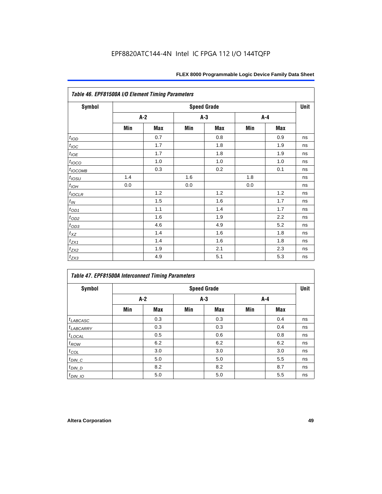|                       | Table 46. EPF81500A I/O Element Timing Parameters |     |     |                    |     |            |      |  |  |  |  |  |
|-----------------------|---------------------------------------------------|-----|-----|--------------------|-----|------------|------|--|--|--|--|--|
| <b>Symbol</b>         |                                                   |     |     | <b>Speed Grade</b> |     |            | Unit |  |  |  |  |  |
|                       |                                                   | A-2 |     | $A-3$              |     | $A-4$      |      |  |  |  |  |  |
|                       | Min                                               | Max | Min | <b>Max</b>         | Min | <b>Max</b> |      |  |  |  |  |  |
| t <sub>IOD</sub>      |                                                   | 0.7 |     | 0.8                |     | 0.9        | ns   |  |  |  |  |  |
| $t_{\text{IOC}}$      |                                                   | 1.7 |     | 1.8                |     | 1.9        | ns   |  |  |  |  |  |
| $t_{IOE}$             |                                                   | 1.7 |     | 1.8                |     | 1.9        | ns   |  |  |  |  |  |
| $t_{IOCO}$            |                                                   | 1.0 |     | 1.0                |     | 1.0        | ns   |  |  |  |  |  |
| $t_{IOCOMB}$          |                                                   | 0.3 |     | 0.2                |     | 0.1        | ns   |  |  |  |  |  |
| $t_{IQSU}$            | 1.4                                               |     | 1.6 |                    | 1.8 |            | ns   |  |  |  |  |  |
| $t_{IOH}$             | 0.0                                               |     | 0.0 |                    | 0.0 |            | ns   |  |  |  |  |  |
| $t_{IOCLR}$           |                                                   | 1.2 |     | 1.2                |     | 1.2        | ns   |  |  |  |  |  |
| $t_{I\!N}$            |                                                   | 1.5 |     | 1.6                |     | 1.7        | ns   |  |  |  |  |  |
| $t_{OD1}$             |                                                   | 1.1 |     | 1.4                |     | 1.7        | ns   |  |  |  |  |  |
| $t_{\underline{OD2}}$ |                                                   | 1.6 |     | 1.9                |     | 2.2        | ns   |  |  |  |  |  |
| $t_{OD3}$             |                                                   | 4.6 |     | 4.9                |     | 5.2        | ns   |  |  |  |  |  |
| $t_{XZ}$              |                                                   | 1.4 |     | 1.6                |     | 1.8        | ns   |  |  |  |  |  |
| $t_{ZX1}$             |                                                   | 1.4 |     | 1.6                |     | 1.8        | ns   |  |  |  |  |  |
| $t_{ZX2}$             |                                                   | 1.9 |     | 2.1                |     | 2.3        | ns   |  |  |  |  |  |
| $t_{ZX3}$             |                                                   | 4.9 |     | 5.1                |     | 5.3        | ns   |  |  |  |  |  |

| <b>Table 47. EPF81500A Interconnect Timing Parameters</b> |       |     |       |                    |     |     |      |  |  |  |
|-----------------------------------------------------------|-------|-----|-------|--------------------|-----|-----|------|--|--|--|
| Symbol                                                    |       |     |       | <b>Speed Grade</b> |     |     | Unit |  |  |  |
|                                                           | $A-2$ |     | $A-3$ |                    | A-4 |     |      |  |  |  |
|                                                           | Min   | Max | Min   | Max                | Min | Max |      |  |  |  |
| $t_{LABCASC}$                                             |       | 0.3 |       | 0.3                |     | 0.4 | ns   |  |  |  |
| $t_{LABCARY}$                                             |       | 0.3 |       | 0.3                |     | 0.4 | ns   |  |  |  |
| $t_{\text{LOCAL}}$                                        |       | 0.5 |       | 0.6                |     | 0.8 | ns   |  |  |  |
| $t_{ROW}$                                                 |       | 6.2 |       | 6.2                |     | 6.2 | ns   |  |  |  |
| $t_{COL}$                                                 |       | 3.0 |       | 3.0                |     | 3.0 | ns   |  |  |  |
| $t_{DIN\_C}$                                              |       | 5.0 |       | 5.0                |     | 5.5 | ns   |  |  |  |
| $t$ <sub>DIN_D</sub>                                      |       | 8.2 |       | 8.2                |     | 8.7 | ns   |  |  |  |
| $t_{DIN\_IO}$                                             |       | 5.0 |       | 5.0                |     | 5.5 | ns   |  |  |  |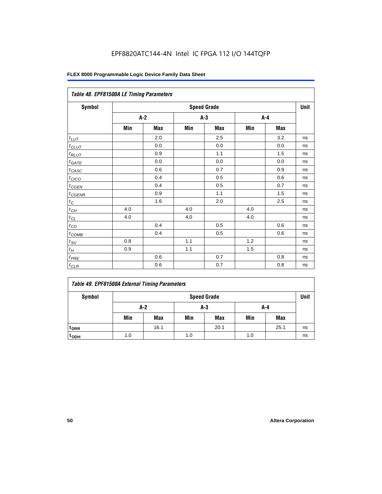| Table 48. EPF81500A LE Timing Parameters |                    |       |       |     |     |         |    |  |  |
|------------------------------------------|--------------------|-------|-------|-----|-----|---------|----|--|--|
| Symbol                                   | <b>Speed Grade</b> |       |       |     |     |         |    |  |  |
|                                          |                    | $A-2$ | $A-3$ |     | A-4 |         |    |  |  |
|                                          | Min                | Max   | Min   | Max | Min | Max     |    |  |  |
| $t_{LUT}$                                |                    | 2.0   |       | 2.5 |     | 3.2     | ns |  |  |
| $t_{CLUT}$                               |                    | 0.0   |       | 0.0 |     | $0.0\,$ | ns |  |  |
| $t_{RLUT}$                               |                    | 0.9   |       | 1.1 |     | 1.5     | ns |  |  |
| $t_{GATE}$                               |                    | 0.0   |       | 0.0 |     | 0.0     | ns |  |  |
| $t_{CASC}$                               |                    | 0.6   |       | 0.7 |     | 0.9     | ns |  |  |
| $t_{CICO}$                               |                    | 0.4   |       | 0.5 |     | 0.6     | ns |  |  |
| $t_{CGEN}$                               |                    | 0.4   |       | 0.5 |     | 0.7     | ns |  |  |
| $t_{CGENR}$                              |                    | 0.9   |       | 1.1 |     | 1.5     | ns |  |  |
| $t_C$                                    |                    | 1.6   |       | 2.0 |     | 2.5     | ns |  |  |
| $t_{CH}$                                 | 4.0                |       | 4.0   |     | 4.0 |         | ns |  |  |
| $t_{CL}$                                 | 4.0                |       | 4.0   |     | 4.0 |         | ns |  |  |
| $t_{CO}$                                 |                    | 0.4   |       | 0.5 |     | 0.6     | ns |  |  |
| $t_{\text{COMB}}$                        |                    | 0.4   |       | 0.5 |     | 0.6     | ns |  |  |
| $t_{\text{SU}}$                          | 0.8                |       | 1.1   |     | 1.2 |         | ns |  |  |
| $t_H\,$                                  | 0.9                |       | 1.1   |     | 1.5 |         | ns |  |  |
| $t_{PRE}$                                |                    | 0.6   |       | 0.7 |     | 0.8     | ns |  |  |
| $t_{CLR}$                                |                    | 0.6   |       | 0.7 |     | 0.8     | ns |  |  |

| Symbol             | <b>Speed Grade</b> |      |     |            |     |            | Unit |
|--------------------|--------------------|------|-----|------------|-----|------------|------|
|                    | A-2<br>A-3<br>A-4  |      |     |            |     |            |      |
|                    | Min                | Max  | Min | <b>Max</b> | Min | <b>Max</b> |      |
| t <sub>DRR</sub>   |                    | 16.1 |     | 20.1       |     | 25.1       | ns   |
| $t$ <sub>ODH</sub> | 1.0                |      | 1.0 |            | 1.0 |            | ns   |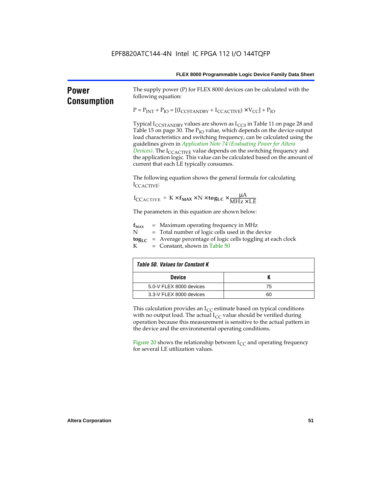|                                    |                                                                                                                                                                                                                                             | FLEX 8000 Programmable Logic Device Family Data Sheet                                                                                                                                                                                                                                                                                                                                                                               |  |  |  |  |
|------------------------------------|---------------------------------------------------------------------------------------------------------------------------------------------------------------------------------------------------------------------------------------------|-------------------------------------------------------------------------------------------------------------------------------------------------------------------------------------------------------------------------------------------------------------------------------------------------------------------------------------------------------------------------------------------------------------------------------------|--|--|--|--|
| <b>Power</b><br><b>Consumption</b> | following equation:                                                                                                                                                                                                                         | The supply power (P) for FLEX 8000 devices can be calculated with the                                                                                                                                                                                                                                                                                                                                                               |  |  |  |  |
|                                    | $P = P_{INT} + P_{IO} = [(I_{CCSTANDBY} + I_{CCACTIVE}) \times V_{CC}] + P_{IO}$                                                                                                                                                            |                                                                                                                                                                                                                                                                                                                                                                                                                                     |  |  |  |  |
|                                    | guidelines given in Application Note 74 (Evaluating Power for Altera<br>current that each LE typically consumes.                                                                                                                            | Typical I <sub>CCSTANDBY</sub> values are shown as I <sub>CC0</sub> in Table 11 on page 28 and<br>Table 15 on page 30. The P <sub>IO</sub> value, which depends on the device output<br>load characteristics and switching frequency, can be calculated using the<br>Devices). The $I_{\text{CCACTIVE}}$ value depends on the switching frequency and<br>the application logic. This value can be calculated based on the amount of |  |  |  |  |
|                                    | The following equation shows the general formula for calculating<br>ICCACTIVE:                                                                                                                                                              |                                                                                                                                                                                                                                                                                                                                                                                                                                     |  |  |  |  |
|                                    | $I_{\text{CCACTIVE}} = K \times f_{\text{MAX}} \times N \times \text{togLC} \times \frac{\mu A}{\text{MHz} \times \text{LE}}$                                                                                                               |                                                                                                                                                                                                                                                                                                                                                                                                                                     |  |  |  |  |
|                                    |                                                                                                                                                                                                                                             | The parameters in this equation are shown below:                                                                                                                                                                                                                                                                                                                                                                                    |  |  |  |  |
|                                    | $=$ Maximum operating frequency in MHz<br>$f_{MAX}$<br>N<br>= Total number of logic cells used in the device<br>$\text{tog}_{\text{LC}}$ = Average percentage of logic cells toggling at each clock<br>K<br>$=$ Constant, shown in Table 50 |                                                                                                                                                                                                                                                                                                                                                                                                                                     |  |  |  |  |
|                                    | <b>Table 50. Values for Constant K</b>                                                                                                                                                                                                      |                                                                                                                                                                                                                                                                                                                                                                                                                                     |  |  |  |  |
|                                    | <b>Device</b>                                                                                                                                                                                                                               | K                                                                                                                                                                                                                                                                                                                                                                                                                                   |  |  |  |  |
|                                    | 5.0-V FLEX 8000 devices                                                                                                                                                                                                                     | 75                                                                                                                                                                                                                                                                                                                                                                                                                                  |  |  |  |  |
|                                    | 3.3-V FLEX 8000 devices<br>60                                                                                                                                                                                                               |                                                                                                                                                                                                                                                                                                                                                                                                                                     |  |  |  |  |

the device and the environmental operating conditions. Figure 20 shows the relationship between  $I_{CC}$  and operating frequency for several LE utilization values.

operation because this measurement is sensitive to the actual pattern in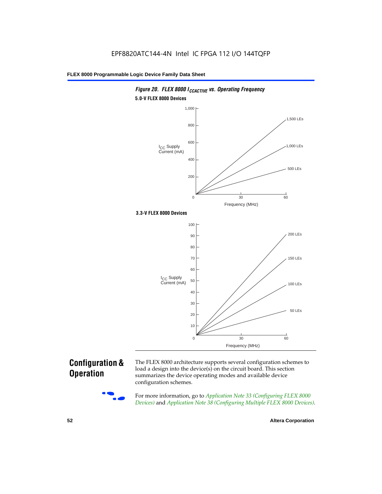

#### *Figure 20. FLEX 8000 I<sub>CCACTIVE</sub> vs. Operating Frequency* **5.0-V FLEX 8000 Devices**

### **Configuration & Operation**



The FLEX 8000 architecture supports several configuration schemes to load a design into the device(s) on the circuit board. This section summarizes the device operating modes and available device configuration schemes.

For more information, go to *Application Note 33 (Configuring FLEX 8000 Devices)* and *Application Note 38 (Configuring Multiple FLEX 8000 Devices)*.

**52 Altera Corporation**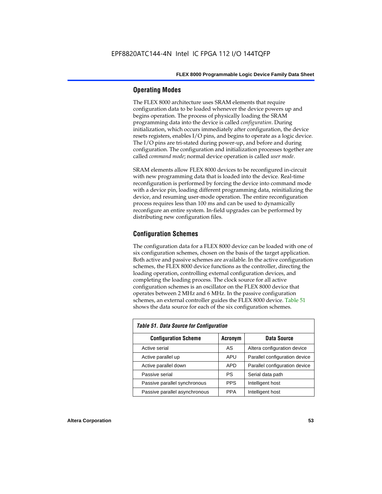#### **Operating Modes**

The FLEX 8000 architecture uses SRAM elements that require configuration data to be loaded whenever the device powers up and begins operation. The process of physically loading the SRAM programming data into the device is called *configuration*. During initialization, which occurs immediately after configuration, the device resets registers, enables I/O pins, and begins to operate as a logic device. The I/O pins are tri-stated during power-up, and before and during configuration. The configuration and initialization processes together are called *command mode*; normal device operation is called *user mode*.

SRAM elements allow FLEX 8000 devices to be reconfigured in-circuit with new programming data that is loaded into the device. Real-time reconfiguration is performed by forcing the device into command mode with a device pin, loading different programming data, reinitializing the device, and resuming user-mode operation. The entire reconfiguration process requires less than 100 ms and can be used to dynamically reconfigure an entire system. In-field upgrades can be performed by distributing new configuration files.

#### **Configuration Schemes**

The configuration data for a FLEX 8000 device can be loaded with one of six configuration schemes, chosen on the basis of the target application. Both active and passive schemes are available. In the active configuration schemes, the FLEX 8000 device functions as the controller, directing the loading operation, controlling external configuration devices, and completing the loading process. The clock source for all active configuration schemes is an oscillator on the FLEX 8000 device that operates between 2 MHz and 6 MHz. In the passive configuration schemes, an external controller guides the FLEX 8000 device. Table 51 shows the data source for each of the six configuration schemes.

| <b>Table 51. Data Source for Configuration</b> |             |                               |  |  |  |  |  |  |
|------------------------------------------------|-------------|-------------------------------|--|--|--|--|--|--|
| <b>Configuration Scheme</b>                    | Data Source |                               |  |  |  |  |  |  |
| Active serial                                  | AS          | Altera configuration device   |  |  |  |  |  |  |
| Active parallel up                             | APU         | Parallel configuration device |  |  |  |  |  |  |
| Active parallel down                           | <b>APD</b>  | Parallel configuration device |  |  |  |  |  |  |
| Passive serial                                 | PS          | Serial data path              |  |  |  |  |  |  |
| Passive parallel synchronous                   | <b>PPS</b>  | Intelligent host              |  |  |  |  |  |  |
| Passive parallel asynchronous                  | <b>PPA</b>  | Intelligent host              |  |  |  |  |  |  |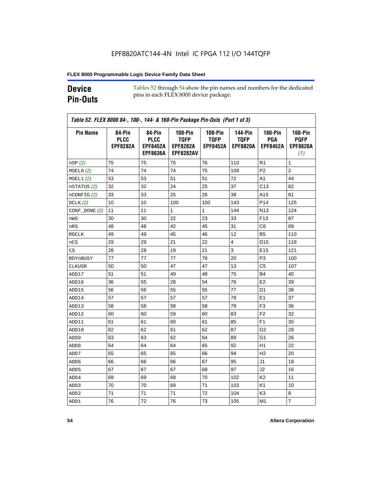### **Device Pin-Outs**

Tables 52 through 54 show the pin names and numbers for the dedicated pins in each FLEX 8000 device package.

| <b>Pin Name</b>  | 84-Pin<br><b>PLCC</b><br><b>EPF8282A</b> | 84-Pin<br><b>PLCC</b><br><b>EPF8452A</b><br><b>EPF8636A</b> | <b>100-Pin</b><br><b>TQFP</b><br><b>EPF8282A</b><br><b>EPF8282AV</b> | <b>100-Pin</b><br><b>TQFP</b><br><b>EPF8452A</b> | <b>144-Pin</b><br><b>TQFP</b><br><b>EPF8820A</b> | <b>160-Pin</b><br>PGA<br><b>EPF8452A</b> | <b>160-Pin</b><br><b>PQFP</b><br><b>EPF8820A</b><br>(1) |
|------------------|------------------------------------------|-------------------------------------------------------------|----------------------------------------------------------------------|--------------------------------------------------|--------------------------------------------------|------------------------------------------|---------------------------------------------------------|
| nSP(2)           | 75                                       | 75                                                          | 75                                                                   | 76                                               | 110                                              | R1                                       | 1                                                       |
| MSELO(2)         | 74                                       | 74                                                          | 74                                                                   | 75                                               | 109                                              | P <sub>2</sub>                           | $\overline{c}$                                          |
| MSEL1(2)         | 53                                       | 53                                                          | 51                                                                   | 51                                               | 72                                               | A1                                       | 44                                                      |
| nSTATUS (2)      | 32                                       | 32                                                          | 24                                                                   | 25                                               | 37                                               | C <sub>13</sub>                          | 82                                                      |
| $n$ CONFIG $(2)$ | 33                                       | 33                                                          | 25                                                                   | 26                                               | 38                                               | A15                                      | 81                                                      |
| DCLK $(2)$       | 10                                       | 10                                                          | 100                                                                  | 100                                              | 143                                              | P <sub>14</sub>                          | 125                                                     |
| $CONF\_DONE(2)$  | 11                                       | 11                                                          | 1                                                                    | 1                                                | 144                                              | N <sub>13</sub>                          | 124                                                     |
| nWS              | 30                                       | 30                                                          | 22                                                                   | 23                                               | 33                                               | F <sub>13</sub>                          | 87                                                      |
| nRS              | 48                                       | 48                                                          | 42                                                                   | 45                                               | 31                                               | C6                                       | 89                                                      |
| <b>RDCLK</b>     | 49                                       | 49                                                          | 45                                                                   | 46                                               | 12                                               | B <sub>5</sub>                           | 110                                                     |
| nCS              | 29                                       | 29                                                          | 21                                                                   | 22                                               | 4                                                | D <sub>15</sub>                          | 118                                                     |
| CS               | 28                                       | 28                                                          | 19                                                                   | 21                                               | 3                                                | E <sub>15</sub>                          | 121                                                     |
| RDYnBUSY         | 77                                       | 77                                                          | 77                                                                   | 78                                               | 20                                               | P <sub>3</sub>                           | 100                                                     |
| CLKUSR           | 50                                       | 50                                                          | 47                                                                   | 47                                               | 13                                               | C5                                       | 107                                                     |
| ADD17            | 51                                       | 51                                                          | 49                                                                   | 48                                               | 75                                               | B4                                       | 40                                                      |
| ADD16            | 36                                       | 55                                                          | 28                                                                   | 54                                               | 76                                               | E <sub>2</sub>                           | 39                                                      |
| ADD15            | 56                                       | 56                                                          | 55                                                                   | 55                                               | 77                                               | D <sub>1</sub>                           | 38                                                      |
| ADD14            | 57                                       | 57                                                          | 57                                                                   | 57                                               | 78                                               | E <sub>1</sub>                           | 37                                                      |
| ADD13            | 58                                       | 58                                                          | 58                                                                   | 58                                               | 79                                               | F <sub>3</sub>                           | 36                                                      |
| ADD12            | 60                                       | 60                                                          | 59                                                                   | 60                                               | 83                                               | F <sub>2</sub>                           | 32                                                      |
| ADD11            | 61                                       | 61                                                          | 60                                                                   | 61                                               | 85                                               | F <sub>1</sub>                           | 30                                                      |
| ADD10            | 62                                       | 62                                                          | 61                                                                   | 62                                               | 87                                               | G2                                       | 28                                                      |
| ADD <sub>9</sub> | 63                                       | 63                                                          | 62                                                                   | 64                                               | 89                                               | G1                                       | 26                                                      |
| ADD <sub>8</sub> | 64                                       | 64                                                          | 64                                                                   | 65                                               | 92                                               | H1                                       | 22                                                      |
| ADD7             | 65                                       | 65                                                          | 65                                                                   | 66                                               | 94                                               | H <sub>2</sub>                           | 20                                                      |
| ADD6             | 66                                       | 66                                                          | 66                                                                   | 67                                               | 95                                               | J1                                       | 18                                                      |
| ADD <sub>5</sub> | 67                                       | 67                                                          | 67                                                                   | 68                                               | 97                                               | J2                                       | 16                                                      |
| ADD4             | 69                                       | 69                                                          | 68                                                                   | 70                                               | 102                                              | K <sub>2</sub>                           | 11                                                      |
| ADD3             | 70                                       | 70                                                          | 69                                                                   | 71                                               | 103                                              | K <sub>1</sub>                           | 10                                                      |
| ADD <sub>2</sub> | 71                                       | 71                                                          | 71                                                                   | 72                                               | 104                                              | K3                                       | 8                                                       |
| ADD1             | 76                                       | 72                                                          | 76                                                                   | 73                                               | 105                                              | M <sub>1</sub>                           | $\overline{7}$                                          |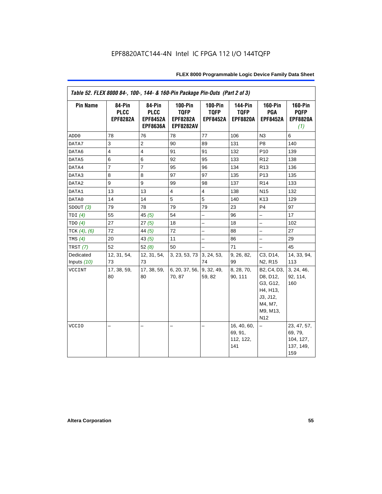| Table 52. FLEX 8000 84-, 100-, 144- & 160-Pin Package Pin-Outs (Part 2 of 3) |                                          |                                                             |                                                                      |                                                  |                                                  |                                                                                                       |                                                         |  |
|------------------------------------------------------------------------------|------------------------------------------|-------------------------------------------------------------|----------------------------------------------------------------------|--------------------------------------------------|--------------------------------------------------|-------------------------------------------------------------------------------------------------------|---------------------------------------------------------|--|
| <b>Pin Name</b>                                                              | 84-Pin<br><b>PLCC</b><br><b>EPF8282A</b> | 84-Pin<br><b>PLCC</b><br><b>EPF8452A</b><br><b>EPF8636A</b> | <b>100-Pin</b><br><b>TQFP</b><br><b>EPF8282A</b><br><b>EPF8282AV</b> | <b>100-Pin</b><br><b>TQFP</b><br><b>EPF8452A</b> | <b>144-Pin</b><br><b>TQFP</b><br><b>EPF8820A</b> | <b>160-Pin</b><br>PGA<br><b>EPF8452A</b>                                                              | <b>160-Pin</b><br><b>PQFP</b><br><b>EPF8820A</b><br>(1) |  |
| ADD <sub>0</sub>                                                             | 78                                       | 76                                                          | 78                                                                   | 77                                               | 106                                              | N3                                                                                                    | 6                                                       |  |
| DATA7                                                                        | 3                                        | $\overline{c}$                                              | 90                                                                   | 89                                               | 131                                              | P <sub>8</sub>                                                                                        | 140                                                     |  |
| DATA6                                                                        | $\overline{4}$                           | $\overline{4}$                                              | 91                                                                   | 91                                               | 132                                              | P <sub>10</sub>                                                                                       | 139                                                     |  |
| DATA5                                                                        | 6                                        | 6                                                           | 92                                                                   | 95                                               | 133                                              | R <sub>12</sub>                                                                                       | 138                                                     |  |
| DATA4                                                                        | $\overline{7}$                           | $\overline{7}$                                              | 95                                                                   | 96                                               | 134                                              | R <sub>13</sub>                                                                                       | 136                                                     |  |
| DATA3                                                                        | 8                                        | 8                                                           | 97                                                                   | 97                                               | 135                                              | P <sub>13</sub>                                                                                       | 135                                                     |  |
| DATA2                                                                        | 9                                        | 9                                                           | 99                                                                   | 98                                               | 137                                              | R <sub>14</sub>                                                                                       | 133                                                     |  |
| DATA1                                                                        | 13                                       | 13                                                          | $\overline{4}$                                                       | $\overline{4}$                                   | 138                                              | N <sub>15</sub>                                                                                       | 132                                                     |  |
| DATA0                                                                        | 14                                       | 14                                                          | 5                                                                    | 5                                                | 140                                              | K <sub>13</sub>                                                                                       | 129                                                     |  |
| SDOUT(3)                                                                     | 79                                       | 78                                                          | 79                                                                   | 79                                               | 23                                               | P4                                                                                                    | 97                                                      |  |
| TDI $(4)$                                                                    | 55                                       | 45(5)                                                       | 54                                                                   |                                                  | 96                                               | $\overline{\phantom{0}}$                                                                              | 17                                                      |  |
| TDO(4)                                                                       | 27                                       | 27(5)                                                       | 18                                                                   | -                                                | 18                                               | $\overline{\phantom{0}}$                                                                              | 102                                                     |  |
| TCK $(4)$ , $(6)$                                                            | 72                                       | 44 $(5)$                                                    | 72                                                                   | $\overline{a}$                                   | 88                                               | $\overline{a}$                                                                                        | 27                                                      |  |
| TMS $(4)$                                                                    | 20                                       | 43(5)                                                       | 11                                                                   | $\overline{a}$                                   | 86                                               | $\equiv$                                                                                              | 29                                                      |  |
| TRST $(7)$                                                                   | 52                                       | 52 $(8)$                                                    | 50                                                                   | $\overline{\phantom{0}}$                         | 71                                               | $\qquad \qquad -$                                                                                     | 45                                                      |  |
| Dedicated                                                                    | 12, 31, 54,                              | 12, 31, 54,                                                 | 3, 23, 53, 73 3, 24, 53,                                             |                                                  | 9, 26, 82,                                       | C3, D14,                                                                                              | 14, 33, 94,                                             |  |
| Inputs (10)                                                                  | 73                                       | 73                                                          |                                                                      | 74                                               | 99                                               | N <sub>2</sub> , R <sub>15</sub>                                                                      | 113                                                     |  |
| VCCINT                                                                       | 17, 38, 59,<br>80                        | 17, 38, 59,<br>80                                           | 6, 20, 37, 56,<br>70, 87                                             | 9, 32, 49,<br>59, 82                             | 8, 28, 70,<br>90, 111                            | B2, C4, D3,<br>D8, D12,<br>G3, G12,<br>H4, H13,<br>J3, J12,<br>M4, M7,<br>M9, M13,<br>N <sub>12</sub> | 3, 24, 46,<br>92, 114,<br>160                           |  |
| <b>VCCIO</b>                                                                 |                                          |                                                             | -                                                                    |                                                  | 16, 40, 60,<br>69, 91,<br>112, 122,<br>141       |                                                                                                       | 23, 47, 57,<br>69, 79,<br>104, 127,<br>137, 149,<br>159 |  |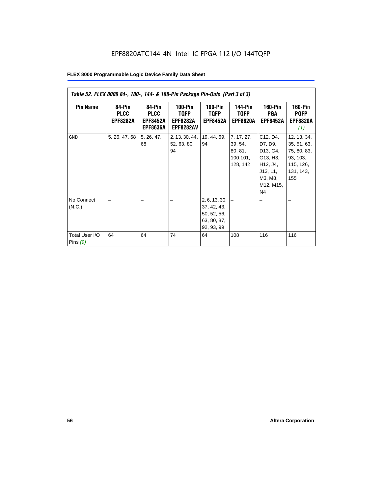| Table 52. FLEX 8000 84-, 100-, 144- & 160-Pin Package Pin-Outs (Part 3 of 3) |                                          |                                                             |                                                          |                                                                                |                                                           |                                                                                                               |                                                                                        |  |  |
|------------------------------------------------------------------------------|------------------------------------------|-------------------------------------------------------------|----------------------------------------------------------|--------------------------------------------------------------------------------|-----------------------------------------------------------|---------------------------------------------------------------------------------------------------------------|----------------------------------------------------------------------------------------|--|--|
| <b>Pin Name</b>                                                              | 84-Pin<br><b>PLCC</b><br><b>EPF8282A</b> | 84-Pin<br><b>PLCC</b><br><b>EPF8452A</b><br><b>EPF8636A</b> | $100-Pin$<br>TQFP<br><b>EPF8282A</b><br><b>EPF8282AV</b> | $100-Pin$<br><b>TQFP</b><br><b>EPF8452A</b>                                    | <b>144-Pin</b><br><b>TQFP</b><br><b>EPF8820A</b>          | <b>160-Pin</b><br>PGA<br><b>EPF8452A</b>                                                                      | <b>160-Pin</b><br><b>PQFP</b><br><b>EPF8820A</b><br>(1)                                |  |  |
| <b>GND</b>                                                                   | 5, 26, 47, 68                            | 5, 26, 47,<br>68                                            | 2, 13, 30, 44,<br>52, 63, 80,<br>94                      | 19, 44, 69,<br>94                                                              | 7, 17, 27,<br>39, 54,<br>80, 81,<br>100, 101,<br>128, 142 | C12, D4,<br>D7, D9,<br>D13, G4,<br>G13, H3,<br>H12, J4,<br>J13, L1,<br>M3, M8,<br>M12, M15,<br>N <sub>4</sub> | 12, 13, 34,<br>35, 51, 63,<br>75, 80, 83,<br>93, 103,<br>115, 126,<br>131, 143,<br>155 |  |  |
| No Connect<br>(N.C.)<br>Total User I/O<br>Pins $(9)$                         | 64                                       | 64                                                          | 74                                                       | 2, 6, 13, 30,<br>37, 42, 43,<br>50, 52, 56,<br>63, 80, 87,<br>92, 93, 99<br>64 | 108                                                       | 116                                                                                                           | 116                                                                                    |  |  |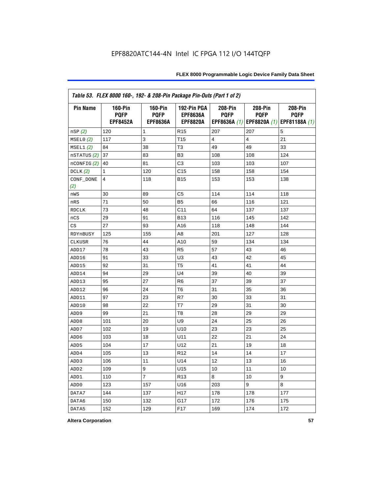|                  | Table 53. FLEX 8000 160-, 192- & 208-Pin Package Pin-Outs (Part 1 of 2) |                                                  |                                                   |                        |                        |                                                                   |  |  |  |
|------------------|-------------------------------------------------------------------------|--------------------------------------------------|---------------------------------------------------|------------------------|------------------------|-------------------------------------------------------------------|--|--|--|
| <b>Pin Name</b>  | <b>160-Pin</b><br><b>PQFP</b><br><b>EPF8452A</b>                        | <b>160-Pin</b><br><b>PQFP</b><br><b>EPF8636A</b> | 192-Pin PGA<br><b>EPF8636A</b><br><b>EPF8820A</b> | 208-Pin<br><b>PQFP</b> | 208-Pin<br><b>PQFP</b> | 208-Pin<br><b>PQFP</b><br>EPF8636A (1) EPF8820A (1) EPF81188A (1) |  |  |  |
| nSP (2)          | 120                                                                     | 1                                                | R <sub>15</sub>                                   | 207                    | 207                    | 5                                                                 |  |  |  |
| MSELO(2)         | 117                                                                     | 3                                                | T <sub>15</sub>                                   | 4                      | 4                      | 21                                                                |  |  |  |
| MSEL1(2)         | 84                                                                      | 38                                               | T <sub>3</sub>                                    | 49                     | 49                     | 33                                                                |  |  |  |
| nSTATUS (2)      | 37                                                                      | 83                                               | B <sub>3</sub>                                    | 108                    | 108                    | 124                                                               |  |  |  |
| nCONFIG (2)      | 40                                                                      | 81                                               | C <sub>3</sub>                                    | 103                    | 103                    | 107                                                               |  |  |  |
| DCLK $(2)$       | 1                                                                       | 120                                              | C <sub>15</sub>                                   | 158                    | 158                    | 154                                                               |  |  |  |
| CONF_DONE<br>(2) | 4                                                                       | 118                                              | <b>B15</b>                                        | 153                    | 153                    | 138                                                               |  |  |  |
| nWS              | 30                                                                      | 89                                               | C5                                                | 114                    | 114                    | 118                                                               |  |  |  |
| nRS              | 71                                                                      | 50                                               | B <sub>5</sub>                                    | 66                     | 116                    | 121                                                               |  |  |  |
| <b>RDCLK</b>     | 73                                                                      | 48                                               | C <sub>11</sub>                                   | 64                     | 137                    | 137                                                               |  |  |  |
| nCS              | 29                                                                      | 91                                               | <b>B13</b>                                        | 116                    | 145                    | 142                                                               |  |  |  |
| CS               | 27                                                                      | 93                                               | A16                                               | 118                    | 148                    | 144                                                               |  |  |  |
| RDYnBUSY         | 125                                                                     | 155                                              | A <sub>8</sub>                                    | 201                    | 127                    | 128                                                               |  |  |  |
| CLKUSR           | 76                                                                      | 44                                               | A10                                               | 59                     | 134                    | 134                                                               |  |  |  |
| ADD17            | 78                                                                      | 43                                               | R <sub>5</sub>                                    | 57                     | 43                     | 46                                                                |  |  |  |
| ADD16            | 91                                                                      | 33                                               | U <sub>3</sub>                                    | 43                     | 42                     | 45                                                                |  |  |  |
| ADD15            | 92                                                                      | 31                                               | T <sub>5</sub>                                    | 41                     | 41                     | 44                                                                |  |  |  |
| ADD14            | 94                                                                      | 29                                               | U <sub>4</sub>                                    | 39                     | 40                     | 39                                                                |  |  |  |
| ADD13            | 95                                                                      | 27                                               | R <sub>6</sub>                                    | 37                     | 39                     | 37                                                                |  |  |  |
| ADD12            | 96                                                                      | 24                                               | T <sub>6</sub>                                    | 31                     | 35                     | 36                                                                |  |  |  |
| ADD11            | 97                                                                      | 23                                               | R7                                                | 30                     | 33                     | 31                                                                |  |  |  |
| ADD10            | 98                                                                      | 22                                               | T7                                                | 29                     | 31                     | 30                                                                |  |  |  |
| ADD <sub>9</sub> | 99                                                                      | 21                                               | T <sub>8</sub>                                    | 28                     | 29                     | 29                                                                |  |  |  |
| ADD <sub>8</sub> | 101                                                                     | 20                                               | U <sub>9</sub>                                    | 24                     | 25                     | 26                                                                |  |  |  |
| ADD7             | 102                                                                     | 19                                               | U10                                               | 23                     | 23                     | 25                                                                |  |  |  |
| ADD <sub>6</sub> | 103                                                                     | 18                                               | U11                                               | 22                     | 21                     | 24                                                                |  |  |  |
| ADD <sub>5</sub> | 104                                                                     | 17                                               | U12                                               | 21                     | 19                     | 18                                                                |  |  |  |
| ADD4             | 105                                                                     | 13                                               | R <sub>12</sub>                                   | 14                     | 14                     | 17                                                                |  |  |  |
| ADD <sub>3</sub> | 106                                                                     | 11                                               | U14                                               | 12                     | 13                     | 16                                                                |  |  |  |
| ADD <sub>2</sub> | 109                                                                     | 9                                                | U15                                               | 10                     | 11                     | 10                                                                |  |  |  |
| ADD1             | 110                                                                     | $\overline{7}$                                   | R <sub>13</sub>                                   | 8                      | 10                     | 9                                                                 |  |  |  |
| ADD <sub>0</sub> | 123                                                                     | 157                                              | U16                                               | 203                    | 9                      | 8                                                                 |  |  |  |
| DATA7            | 144                                                                     | 137                                              | H <sub>17</sub>                                   | 178                    | 178                    | 177                                                               |  |  |  |
| DATA6            | 150                                                                     | 132                                              | G17                                               | 172                    | 176                    | 175                                                               |  |  |  |
| DATA5            | 152                                                                     | 129                                              | F <sub>17</sub>                                   | 169                    | 174                    | 172                                                               |  |  |  |

**Altera Corporation 57**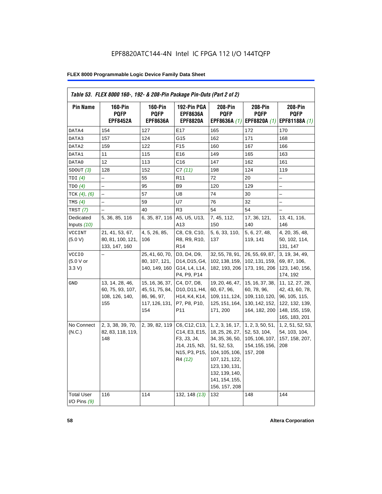| <b>Pin Name</b>                     | <b>160-Pin</b><br><b>PQFP</b>                                | $160-Pin$<br><b>PQFP</b>                                                   | 192-Pin PGA<br><b>EPF8636A</b>                                                                                                    | 208-Pin<br><b>PQFP</b>                                                                                                                                                           | 208-Pin<br><b>PQFP</b>                                                              | 208-Pin<br><b>PQFP</b>                                                                                   |
|-------------------------------------|--------------------------------------------------------------|----------------------------------------------------------------------------|-----------------------------------------------------------------------------------------------------------------------------------|----------------------------------------------------------------------------------------------------------------------------------------------------------------------------------|-------------------------------------------------------------------------------------|----------------------------------------------------------------------------------------------------------|
|                                     | <b>EPF8452A</b>                                              | <b>EPF8636A</b>                                                            | <b>EPF8820A</b>                                                                                                                   | EPF8636A (1)                                                                                                                                                                     | EPF8820A (1)                                                                        | EPF81188A (1)                                                                                            |
| DATA4                               | 154                                                          | 127                                                                        | E17                                                                                                                               | 165                                                                                                                                                                              | 172                                                                                 | 170                                                                                                      |
| DATA3                               | 157                                                          | 124                                                                        | G15                                                                                                                               | 162                                                                                                                                                                              | 171                                                                                 | 168                                                                                                      |
| DATA2                               | 159                                                          | 122                                                                        | F <sub>15</sub>                                                                                                                   | 160                                                                                                                                                                              | 167                                                                                 | 166                                                                                                      |
| DATA1                               | 11                                                           | 115                                                                        | E16                                                                                                                               | 149                                                                                                                                                                              | 165                                                                                 | 163                                                                                                      |
| DATA0                               | 12                                                           | 113                                                                        | C <sub>16</sub>                                                                                                                   | 147                                                                                                                                                                              | 162                                                                                 | 161                                                                                                      |
| SDOUT(3)                            | 128                                                          | 152                                                                        | C7(11)                                                                                                                            | 198                                                                                                                                                                              | 124                                                                                 | 119                                                                                                      |
| TDI(4)                              | $\overline{\phantom{0}}$                                     | 55                                                                         | R <sub>11</sub>                                                                                                                   | 72                                                                                                                                                                               | 20                                                                                  |                                                                                                          |
| TDO(4)                              |                                                              | 95                                                                         | B <sub>9</sub>                                                                                                                    | 120                                                                                                                                                                              | 129                                                                                 |                                                                                                          |
| TCK $(4)$ , $(6)$                   |                                                              | 57                                                                         | U8                                                                                                                                | 74                                                                                                                                                                               | 30                                                                                  |                                                                                                          |
| TMS $(4)$                           |                                                              | 59                                                                         | U7                                                                                                                                | 76                                                                                                                                                                               | 32                                                                                  | $\overline{\phantom{0}}$                                                                                 |
| TRST $(7)$                          |                                                              | 40                                                                         | R <sub>3</sub>                                                                                                                    | 54                                                                                                                                                                               | 54                                                                                  |                                                                                                          |
| Dedicated<br>Inputs $(10)$          | 5, 36, 85, 116                                               | 6, 35, 87, 116                                                             | A5, U5, U13,<br>A13                                                                                                               | 7, 45, 112,<br>150                                                                                                                                                               | 17, 36, 121,<br>140                                                                 | 13, 41, 116,<br>146                                                                                      |
| <b>VCCINT</b><br>(5.0 V)            | 21, 41, 53, 67,<br>80, 81, 100, 121,<br>133, 147, 160        | 4, 5, 26, 85,<br>106                                                       | C8, C9, C10,<br>R8, R9, R10,<br>R <sub>14</sub>                                                                                   | 5, 6, 33, 110,<br>137                                                                                                                                                            | 5, 6, 27, 48,<br>119, 141                                                           | 4, 20, 35, 48,<br>50, 102, 114,<br>131, 147                                                              |
| <b>VCCIO</b><br>(5.0 V or<br>3.3 V  |                                                              | 25, 41, 60, 70,<br>80, 107, 121,<br>140, 149, 160                          | D3, D4, D9,<br>D14, D15, G4,<br>G14, L4, L14,<br>P4, P9, P14                                                                      | 32, 55, 78, 91,<br>102, 138, 159,<br>182, 193, 206                                                                                                                               | 26, 55, 69, 87,<br>102, 131, 159,<br>173, 191, 206                                  | 3, 19, 34, 49,<br>69, 87, 106,<br>123, 140, 156,<br>174, 192                                             |
| GND                                 | 13, 14, 28, 46,<br>60, 75, 93, 107,<br>108, 126, 140,<br>155 | 15, 16, 36, 37,<br>45, 51, 75, 84,<br>86, 96, 97,<br>117, 126, 131,<br>154 | C4, D7, D8,<br>D10, D11, H4,<br>H <sub>14</sub> , K <sub>4</sub> , K <sub>14</sub> ,<br>P7, P8, P10,<br>P <sub>11</sub>           | 19, 20, 46, 47,<br>60, 67, 96,<br>109, 111, 124,<br>125, 151, 164,<br>171, 200                                                                                                   | 15, 16, 37, 38,<br>60, 78, 96,<br>109, 110, 120,<br>130, 142, 152,<br>164, 182, 200 | 11, 12, 27, 28,<br>42, 43, 60, 78,<br>96, 105, 115,<br>122, 132, 139,<br>148, 155, 159,<br>165, 183, 201 |
| No Connect<br>(N.C.)                | 2, 3, 38, 39, 70,<br>82, 83, 118, 119,<br>148                | 2, 39, 82, 119                                                             | C6, C12, C13,<br>C14, E3, E15,<br>F3, J3, J4,<br>J14, J15, N3,<br>N <sub>15</sub> , P <sub>3</sub> , P <sub>15</sub> ,<br>R4 (12) | 1, 2, 3, 16, 17,<br>18, 25, 26, 27,<br>34, 35, 36, 50,<br>51, 52, 53,<br>104, 105, 106,<br>107, 121, 122,<br>123, 130, 131,<br>132, 139, 140,<br>141, 154, 155,<br>156, 157, 208 | 1, 2, 3, 50, 51,<br>52, 53, 104,<br>105, 106, 107,<br>154, 155, 156,<br>157, 208    | 1, 2, 51, 52, 53,<br>54, 103, 104,<br>157, 158, 207,<br>208                                              |
| <b>Total User</b><br>I/O Pins $(9)$ | 116                                                          | 114                                                                        | 132, 148 (13)                                                                                                                     | 132                                                                                                                                                                              | 148                                                                                 | 144                                                                                                      |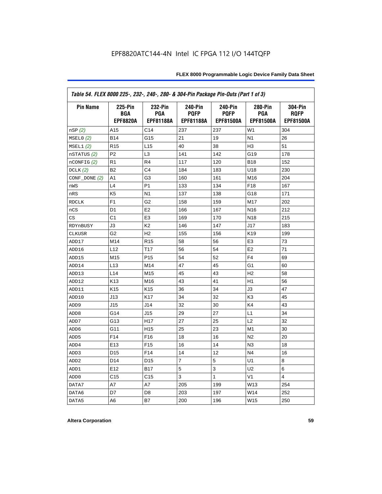| Table 54. FLEX 8000 225-, 232-, 240-, 280- & 304-Pin Package Pin-Outs (Part 1 of 3) |                                                 |                                    |                                            |                                                   |                                    |                                            |  |  |
|-------------------------------------------------------------------------------------|-------------------------------------------------|------------------------------------|--------------------------------------------|---------------------------------------------------|------------------------------------|--------------------------------------------|--|--|
| <b>Pin Name</b>                                                                     | <b>225-Pin</b><br><b>BGA</b><br><b>EPF8820A</b> | 232-Pin<br><b>PGA</b><br>EPF81188A | <b>240-Pin</b><br><b>PQFP</b><br>EPF81188A | <b>240-Pin</b><br><b>PQFP</b><br><b>EPF81500A</b> | 280-Pin<br><b>PGA</b><br>EPF81500A | 304-Pin<br><b>ROFP</b><br><b>EPF81500A</b> |  |  |
| nSP(2)                                                                              | A15                                             | C14                                | 237                                        | 237                                               | W <sub>1</sub>                     | 304                                        |  |  |
| MSELO(2)                                                                            | <b>B14</b>                                      | G15                                | 21                                         | 19                                                | N <sub>1</sub>                     | 26                                         |  |  |
| MSEL1(2)                                                                            | R <sub>15</sub>                                 | L15                                | 40                                         | 38                                                | H <sub>3</sub>                     | 51                                         |  |  |
| nSTATUS (2)                                                                         | P <sub>2</sub>                                  | L <sub>3</sub>                     | 141                                        | 142                                               | G19                                | 178                                        |  |  |
| $n$ CONFIG $(2)$                                                                    | R <sub>1</sub>                                  | R <sub>4</sub>                     | 117                                        | 120                                               | <b>B18</b>                         | 152                                        |  |  |
| DCLK(2)                                                                             | B <sub>2</sub>                                  | C <sub>4</sub>                     | 184                                        | 183                                               | U18                                | 230                                        |  |  |
| CONF_DONE (2)                                                                       | A1                                              | G3                                 | 160                                        | 161                                               | M16                                | 204                                        |  |  |
| nWS                                                                                 | L4                                              | P <sub>1</sub>                     | 133                                        | 134                                               | F <sub>18</sub>                    | 167                                        |  |  |
| nRS                                                                                 | K <sub>5</sub>                                  | N <sub>1</sub>                     | 137                                        | 138                                               | G18                                | 171                                        |  |  |
| <b>RDCLK</b>                                                                        | F <sub>1</sub>                                  | G <sub>2</sub>                     | 158                                        | 159                                               | M17                                | 202                                        |  |  |
| nCS                                                                                 | D <sub>1</sub>                                  | E <sub>2</sub>                     | 166                                        | 167                                               | N <sub>16</sub>                    | 212                                        |  |  |
| CS                                                                                  | C1                                              | E <sub>3</sub>                     | 169                                        | 170                                               | N <sub>18</sub>                    | 215                                        |  |  |
| RDYnBUSY                                                                            | J3                                              | K <sub>2</sub>                     | 146                                        | 147                                               | J17                                | 183                                        |  |  |
| <b>CLKUSR</b>                                                                       | G <sub>2</sub>                                  | H <sub>2</sub>                     | 155                                        | 156                                               | K <sub>19</sub>                    | 199                                        |  |  |
| ADD17                                                                               | M14                                             | R <sub>15</sub>                    | 58                                         | 56                                                | E <sub>3</sub>                     | 73                                         |  |  |
| ADD16                                                                               | L12                                             | T17                                | 56                                         | 54                                                | E <sub>2</sub>                     | 71                                         |  |  |
| ADD15                                                                               | M15                                             | P <sub>15</sub>                    | 54                                         | 52                                                | F <sub>4</sub>                     | 69                                         |  |  |
| ADD14                                                                               | L13                                             | M14                                | 47                                         | 45                                                | G1                                 | 60                                         |  |  |
| ADD13                                                                               | L14                                             | M15                                | 45                                         | 43                                                | H <sub>2</sub>                     | 58                                         |  |  |
| ADD12                                                                               | K <sub>13</sub>                                 | M16                                | 43                                         | 41                                                | H1                                 | 56                                         |  |  |
| ADD11                                                                               | K <sub>15</sub>                                 | K <sub>15</sub>                    | 36                                         | 34                                                | J3                                 | 47                                         |  |  |
| ADD10                                                                               | J13                                             | K17                                | 34                                         | 32                                                | K <sub>3</sub>                     | 45                                         |  |  |
| ADD <sub>9</sub>                                                                    | J15                                             | J14                                | 32                                         | 30                                                | K4                                 | 43                                         |  |  |
| ADD <sub>8</sub>                                                                    | G14                                             | J15                                | 29                                         | 27                                                | L1                                 | 34                                         |  |  |
| ADD7                                                                                | G13                                             | H <sub>17</sub>                    | 27                                         | 25                                                | L2                                 | 32                                         |  |  |
| ADD <sub>6</sub>                                                                    | G11                                             | H <sub>15</sub>                    | 25                                         | 23                                                | M <sub>1</sub>                     | 30                                         |  |  |
| ADD <sub>5</sub>                                                                    | F <sub>14</sub>                                 | F <sub>16</sub>                    | 18                                         | 16                                                | N <sub>2</sub>                     | 20                                         |  |  |
| ADD4                                                                                | E <sub>13</sub>                                 | F <sub>15</sub>                    | 16                                         | 14                                                | N3                                 | 18                                         |  |  |
| ADD3                                                                                | D <sub>15</sub>                                 | F14                                | 14                                         | 12                                                | N <sub>4</sub>                     | 16                                         |  |  |
| ADD <sub>2</sub>                                                                    | D <sub>14</sub>                                 | D <sub>15</sub>                    | 7                                          | 5                                                 | U1                                 | 8                                          |  |  |
| ADD1                                                                                | E12                                             | <b>B17</b>                         | 5                                          | 3                                                 | U2                                 | 6                                          |  |  |
| ADD <sub>0</sub>                                                                    | C <sub>15</sub>                                 | C <sub>15</sub>                    | 3                                          | 1                                                 | V <sub>1</sub>                     | 4                                          |  |  |
| DATA7                                                                               | A7                                              | A7                                 | 205                                        | 199                                               | W13                                | 254                                        |  |  |
| DATA6                                                                               | D7                                              | D <sub>8</sub>                     | 203                                        | 197                                               | W14                                | 252                                        |  |  |
| DATA5                                                                               | A6                                              | B7                                 | 200                                        | 196                                               | W15                                | 250                                        |  |  |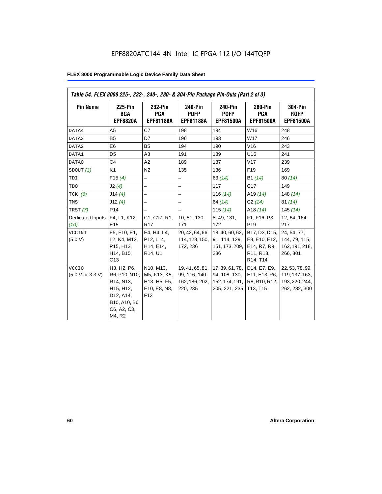| Table 54. FLEX 8000 225-, 232-, 240-, 280- & 304-Pin Package Pin-Outs (Part 2 of 3) |                                                                                                                                         |                                                                              |                                                                |                                                                       |                                                                                                                            |                                                                      |
|-------------------------------------------------------------------------------------|-----------------------------------------------------------------------------------------------------------------------------------------|------------------------------------------------------------------------------|----------------------------------------------------------------|-----------------------------------------------------------------------|----------------------------------------------------------------------------------------------------------------------------|----------------------------------------------------------------------|
| <b>Pin Name</b>                                                                     | 225-Pin<br>BGA<br><b>EPF8820A</b>                                                                                                       | 232-Pin<br>PGA<br><b>EPF81188A</b>                                           | 240-Pin<br><b>PQFP</b><br><b>EPF81188A</b>                     | 240-Pin<br><b>PQFP</b><br><b>EPF81500A</b>                            | <b>280-Pin</b><br>PGA<br><b>EPF81500A</b>                                                                                  | <b>304-Pin</b><br><b>RQFP</b><br><b>EPF81500A</b>                    |
| DATA4                                                                               | A <sub>5</sub>                                                                                                                          | C7                                                                           | 198                                                            | 194                                                                   | W16                                                                                                                        | 248                                                                  |
| DATA3                                                                               | B <sub>5</sub>                                                                                                                          | D7                                                                           | 196                                                            | 193                                                                   | W17                                                                                                                        | 246                                                                  |
| DATA2                                                                               | E <sub>6</sub>                                                                                                                          | <b>B5</b>                                                                    | 194                                                            | 190                                                                   | V16                                                                                                                        | 243                                                                  |
| DATA1                                                                               | D <sub>5</sub>                                                                                                                          | A3                                                                           | 191                                                            | 189                                                                   | U16                                                                                                                        | 241                                                                  |
| DATA0                                                                               | C <sub>4</sub>                                                                                                                          | A2                                                                           | 189                                                            | 187                                                                   | V17                                                                                                                        | 239                                                                  |
| SDOUT(3)                                                                            | K1                                                                                                                                      | N <sub>2</sub>                                                               | 135                                                            | 136                                                                   | F <sub>19</sub>                                                                                                            | 169                                                                  |
| TDI                                                                                 | F15(4)                                                                                                                                  | $\overline{\phantom{0}}$                                                     | $\overline{\phantom{0}}$                                       | 63(14)                                                                | B1 (14)                                                                                                                    | 80(14)                                                               |
| TDO                                                                                 | J2(4)                                                                                                                                   | $\overline{\phantom{0}}$                                                     | $\overline{\phantom{0}}$                                       | 117                                                                   | C17                                                                                                                        | 149                                                                  |
| TCK $(6)$                                                                           | J14(4)                                                                                                                                  |                                                                              | -                                                              | 116 $(14)$                                                            | A <sub>19</sub> $(14)$                                                                                                     | 148 $(14)$                                                           |
| TMS                                                                                 | J12(4)                                                                                                                                  |                                                                              | $\overline{\phantom{0}}$                                       | 64 (14)                                                               | C2(14)                                                                                                                     | 81(14)                                                               |
| <b>TRST</b> (7)                                                                     | P <sub>14</sub>                                                                                                                         | $\overline{\phantom{0}}$                                                     | $\overline{\phantom{0}}$                                       | 115 $(14)$                                                            | A18 $(14)$                                                                                                                 | 145(14)                                                              |
| Dedicated Inputs<br>(10)                                                            | F4, L1, K12,<br>E <sub>15</sub>                                                                                                         | C1, C17, R1,<br>R <sub>17</sub>                                              | 10, 51, 130,<br>171                                            | 8, 49, 131,<br>172                                                    | F1, F16, P3,<br>P <sub>19</sub>                                                                                            | 12, 64, 164,<br>217                                                  |
| <b>VCCINT</b><br>(5.0 V)                                                            | F5, F10, E1,<br>L2, K4, M12,<br>P15, H13,<br>H14, B15,<br>C13                                                                           | E4, H4, L4,<br>P12, L14,<br>H14, E14,<br>R <sub>14</sub> , U <sub>1</sub>    | 20, 42, 64, 66,<br>114, 128, 150,<br>172, 236                  | 18, 40, 60, 62,<br>91, 114, 129,<br>151, 173, 209,<br>236             | B17, D3, D15,<br>E8, E10, E12,<br>E14, R7, R9,<br>R <sub>11</sub> , R <sub>13</sub> ,<br>R <sub>14</sub> , T <sub>14</sub> | 24, 54, 77,<br>144, 79, 115,<br>162, 191, 218,<br>266, 301           |
| <b>VCCIO</b><br>(5.0 V or 3.3 V)                                                    | H3, H2, P6,<br>R6, P10, N10,<br>R <sub>14</sub> , N <sub>13</sub> ,<br>H15, H12,<br>D12, A14,<br>B10, A10, B6,<br>C6, A2, C3,<br>M4, R2 | N10, M13,<br>M5, K13, K5,<br>H13, H5, F5,<br>E10, E8, N8,<br>F <sub>13</sub> | 19, 41, 65, 81,<br>99, 116, 140,<br>162, 186, 202,<br>220, 235 | 17, 39, 61, 78,<br>94, 108, 130,<br>152, 174, 191, 1<br>205, 221, 235 | D14, E7, E9,<br>E11, E13, R6,<br>R8, R10, R12,<br>T13, T15                                                                 | 22, 53, 78, 99,<br>119, 137, 163,<br>193, 220, 244,<br>262, 282, 300 |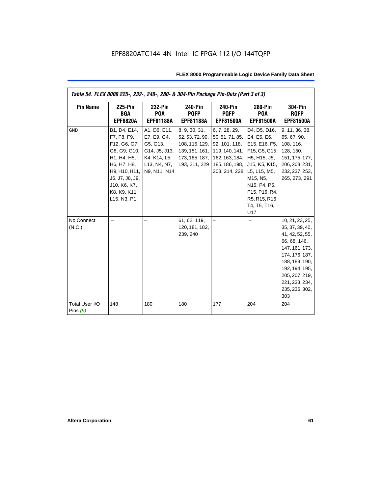| Table 54. FLEX 8000 225-, 232-, 240-, 280- & 304-Pin Package Pin-Outs (Part 3 of 3) |                                                                                                                                                                              |                                                                                                          |                                                                                                         |                                                                                                                                                              |                                                                                                                                                                                                                                  |                                                                                                                                                                                                            |
|-------------------------------------------------------------------------------------|------------------------------------------------------------------------------------------------------------------------------------------------------------------------------|----------------------------------------------------------------------------------------------------------|---------------------------------------------------------------------------------------------------------|--------------------------------------------------------------------------------------------------------------------------------------------------------------|----------------------------------------------------------------------------------------------------------------------------------------------------------------------------------------------------------------------------------|------------------------------------------------------------------------------------------------------------------------------------------------------------------------------------------------------------|
| <b>Pin Name</b>                                                                     | <b>225-Pin</b><br>BGA<br><b>EPF8820A</b>                                                                                                                                     | 232-Pin<br><b>PGA</b><br><b>EPF81188A</b>                                                                | <b>240-Pin</b><br><b>PQFP</b><br><b>EPF81188A</b>                                                       | 240-Pin<br><b>PQFP</b><br><b>EPF81500A</b>                                                                                                                   | 280-Pin<br><b>PGA</b><br><b>EPF81500A</b>                                                                                                                                                                                        | <b>304-Pin</b><br><b>RQFP</b><br><b>EPF81500A</b>                                                                                                                                                          |
| <b>GND</b>                                                                          | B1, D4, E14,<br>F7, F8, F9,<br>F12, G6, G7,<br>G8, G9, G10,<br>H1, H4, H5,<br>H6, H7, H8,<br>H9, H10, H11,<br>J6, J7, J8, J9,<br>J10, K6, K7,<br>K8, K9, K11,<br>L15, N3, P1 | A1, D6, E11,<br>E7, E9, G4,<br>G5, G13,<br>G14, J5, J13,<br>K4, K14, L5,<br>L13, N4, N7,<br>N9, N11, N14 | 8, 9, 30, 31,<br>52, 53, 72, 90,<br>108, 115, 129,<br>139, 151, 161,<br>173, 185, 187,<br>193, 211, 229 | 6, 7, 28, 29,<br>50, 51, 71, 85, E4, E5, E6,<br>92, 101, 118,<br>162, 163, 184, H5, H15, J5,<br>185, 186, 198, J15, K5, K15,<br>208, 214, 228   L5, L15, M5, | D4, D5, D16,<br>E15, E16, F5,<br>119, 140, 141, F15, G5, G15,<br>M15, N5,<br>N <sub>15</sub> , P <sub>4</sub> , P <sub>5</sub> ,<br>P <sub>15</sub> , P <sub>16</sub> , R <sub>4</sub> ,<br>R5, R15, R16,<br>T4, T5, T16,<br>U17 | 9, 11, 36, 38,<br>65, 67, 90,<br>108, 116,<br>128, 150,<br>151, 175, 177,<br>206, 208, 231,<br>232, 237, 253,<br>265, 273, 291                                                                             |
| No Connect<br>(N.C.)                                                                |                                                                                                                                                                              |                                                                                                          | 61, 62, 119,<br>120, 181, 182,<br>239, 240                                                              |                                                                                                                                                              |                                                                                                                                                                                                                                  | 10, 21, 23, 25,<br>35, 37, 39, 40,<br>41, 42, 52, 55,<br>66, 68, 146,<br>147, 161, 173,<br>174, 176, 187,<br>188, 189, 190,<br>192, 194, 195,<br>205, 207, 219,<br>221, 233, 234,<br>235, 236, 302,<br>303 |
| Total User I/O<br>Pins $(9)$                                                        | 148                                                                                                                                                                          | 180                                                                                                      | 180                                                                                                     | 177                                                                                                                                                          | 204                                                                                                                                                                                                                              | 204                                                                                                                                                                                                        |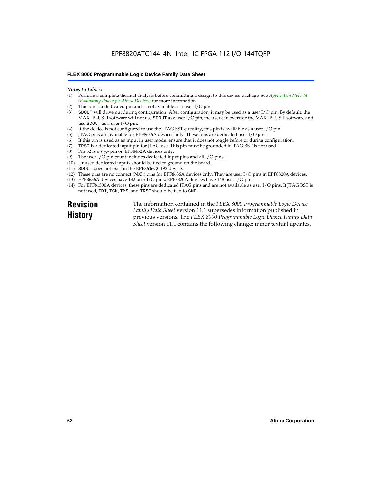### EPF8820ATC144-4N Intel IC FPGA 112 I/O 144TQFP

#### **FLEX 8000 Programmable Logic Device Family Data Sheet**

#### *Notes to tables:*

- (1) Perform a complete thermal analysis before committing a design to this device package. See *Application Note 74 (Evaluating Power for Altera Devices)* for more information.
- (2) This pin is a dedicated pin and is not available as a user I/O pin.
- (3) SDOUT will drive out during configuration. After configuration, it may be used as a user I/O pin. By default, the MAX+PLUS II software will not use SDOUT as a user I/O pin; the user can override the MAX+PLUS II software and use SDOUT as a user I/O pin.
- (4) If the device is not configured to use the JTAG BST circuitry, this pin is available as a user I/O pin.
- (5) JTAG pins are available for EPF8636A devices only. These pins are dedicated user I/O pins.
- $(6)$  If this pin is used as an input in user mode, ensure that it does not toggle before or during configuration.
- (7) TRST is a dedicated input pin for JTAG use. This pin must be grounded if JTAG BST is not used.
- (8) Pin 52 is a  $V_{CC}$  pin on EPF8452A devices only.
- (9) The user I/O pin count includes dedicated input pins and all I/O pins.
- (10) Unused dedicated inputs should be tied to ground on the board.
- (11) SDOUT does not exist in the EPF8636GC192 device.
- (12) These pins are no connect (N.C.) pins for EPF8636A devices only. They are user I/O pins in EPF8820A devices.
- (13) EPF8636A devices have 132 user I/O pins; EPF8820A devices have 148 user I/O pins.
- (14) For EPF81500A devices, these pins are dedicated JTAG pins and are not available as user I/O pins. If JTAG BST is not used, TDI, TCK, TMS, and TRST should be tied to GND.

**Revision History**

The information contained in the *FLEX 8000 Programmable Logic Device Family Data Sheet* version 11.1 supersedes information published in previous versions. The *FLEX 8000 Programmable Logic Device Family Data Sheet* version 11.1 contains the following change: minor textual updates.